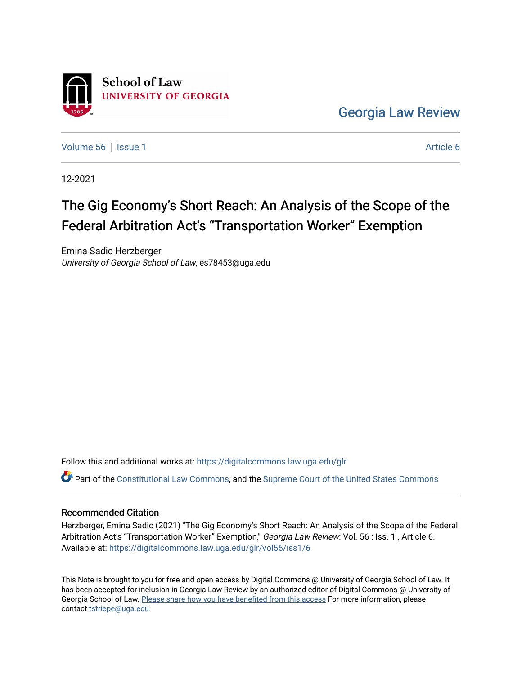

[Georgia Law Review](https://digitalcommons.law.uga.edu/glr) 

[Volume 56](https://digitalcommons.law.uga.edu/glr/vol56) Setsue 1 [Article 6](https://digitalcommons.law.uga.edu/glr/vol56/iss1/6) Article 6

12-2021

# The Gig Economy's Short Reach: An Analysis of the Scope of the Federal Arbitration Act's "Transportation Worker" Exemption

Emina Sadic Herzberger University of Georgia School of Law, es78453@uga.edu

Follow this and additional works at: [https://digitalcommons.law.uga.edu/glr](https://digitalcommons.law.uga.edu/glr?utm_source=digitalcommons.law.uga.edu%2Fglr%2Fvol56%2Fiss1%2F6&utm_medium=PDF&utm_campaign=PDFCoverPages) 

Part of the [Constitutional Law Commons,](http://network.bepress.com/hgg/discipline/589?utm_source=digitalcommons.law.uga.edu%2Fglr%2Fvol56%2Fiss1%2F6&utm_medium=PDF&utm_campaign=PDFCoverPages) and the [Supreme Court of the United States Commons](http://network.bepress.com/hgg/discipline/1350?utm_source=digitalcommons.law.uga.edu%2Fglr%2Fvol56%2Fiss1%2F6&utm_medium=PDF&utm_campaign=PDFCoverPages)

#### Recommended Citation

Herzberger, Emina Sadic (2021) "The Gig Economy's Short Reach: An Analysis of the Scope of the Federal Arbitration Act's "Transportation Worker" Exemption," Georgia Law Review: Vol. 56 : Iss. 1, Article 6. Available at: [https://digitalcommons.law.uga.edu/glr/vol56/iss1/6](https://digitalcommons.law.uga.edu/glr/vol56/iss1/6?utm_source=digitalcommons.law.uga.edu%2Fglr%2Fvol56%2Fiss1%2F6&utm_medium=PDF&utm_campaign=PDFCoverPages)

This Note is brought to you for free and open access by Digital Commons @ University of Georgia School of Law. It has been accepted for inclusion in Georgia Law Review by an authorized editor of Digital Commons @ University of Georgia School of Law. [Please share how you have benefited from this access](https://docs.google.com/forms/d/e/1FAIpQLSc_7JxpD4JNSJyX6RwtrWT9ZyH0ZZhUyG3XrFAJV-kf1AGk6g/viewform) For more information, please contact [tstriepe@uga.edu](mailto:tstriepe@uga.edu).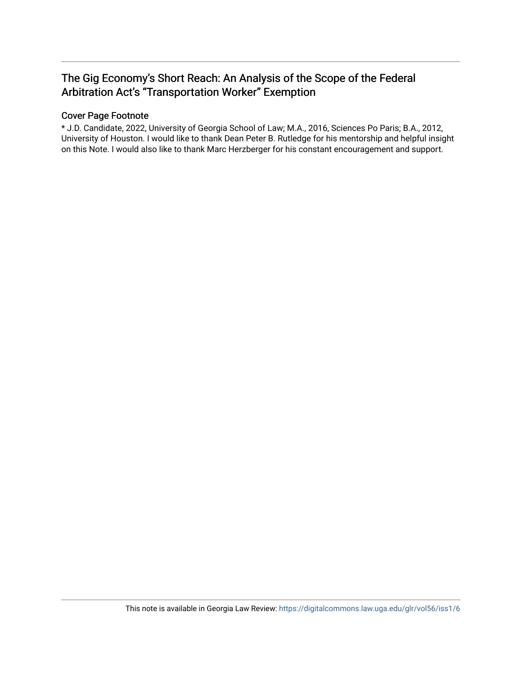## The Gig Economy's Short Reach: An Analysis of the Scope of the Federal Arbitration Act's "Transportation Worker" Exemption

### Cover Page Footnote

\* J.D. Candidate, 2022, University of Georgia School of Law; M.A., 2016, Sciences Po Paris; B.A., 2012, University of Houston. I would like to thank Dean Peter B. Rutledge for his mentorship and helpful insight on this Note. I would also like to thank Marc Herzberger for his constant encouragement and support.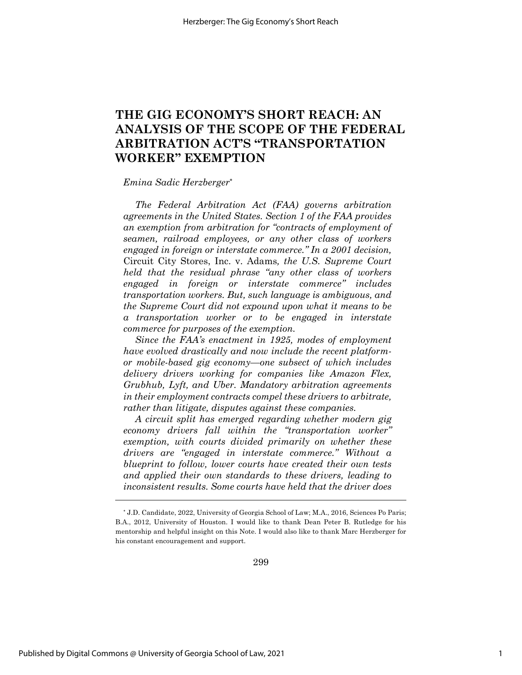## **THE GIG ECONOMY'S SHORT REACH: AN ANALYSIS OF THE SCOPE OF THE FEDERAL ARBITRATION ACT'S "TRANSPORTATION WORKER" EXEMPTION**

#### *Emina Sadic Herzberger*\*

*The Federal Arbitration Act (FAA) governs arbitration agreements in the United States. Section 1 of the FAA provides an exemption from arbitration for "contracts of employment of seamen, railroad employees, or any other class of workers engaged in foreign or interstate commerce." In a 2001 decision,* Circuit City Stores, Inc. v. Adams*, the U.S. Supreme Court held that the residual phrase "any other class of workers engaged in foreign or interstate commerce" includes transportation workers. But, such language is ambiguous, and the Supreme Court did not expound upon what it means to be a transportation worker or to be engaged in interstate commerce for purposes of the exemption.*

*Since the FAA's enactment in 1925, modes of employment have evolved drastically and now include the recent platformor mobile-based gig economy—one subsect of which includes delivery drivers working for companies like Amazon Flex, Grubhub, Lyft, and Uber. Mandatory arbitration agreements in their employment contracts compel these drivers to arbitrate, rather than litigate, disputes against these companies.*

*A circuit split has emerged regarding whether modern gig economy drivers fall within the "transportation worker" exemption, with courts divided primarily on whether these drivers are "engaged in interstate commerce." Without a blueprint to follow, lower courts have created their own tests and applied their own standards to these drivers, leading to inconsistent results. Some courts have held that the driver does* 

299

<sup>\*</sup> J.D. Candidate, 2022, University of Georgia School of Law; M.A., 2016, Sciences Po Paris; B.A., 2012, University of Houston. I would like to thank Dean Peter B. Rutledge for his mentorship and helpful insight on this Note. I would also like to thank Marc Herzberger for his constant encouragement and support.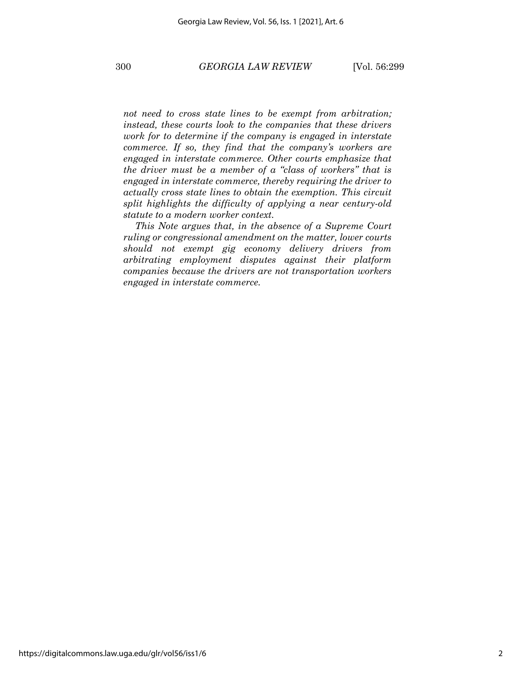*not need to cross state lines to be exempt from arbitration; instead, these courts look to the companies that these drivers work for to determine if the company is engaged in interstate commerce. If so, they find that the company's workers are engaged in interstate commerce. Other courts emphasize that the driver must be a member of a "class of workers" that is engaged in interstate commerce, thereby requiring the driver to actually cross state lines to obtain the exemption. This circuit split highlights the difficulty of applying a near century-old statute to a modern worker context.*

*This Note argues that, in the absence of a Supreme Court ruling or congressional amendment on the matter, lower courts should not exempt gig economy delivery drivers from arbitrating employment disputes against their platform companies because the drivers are not transportation workers engaged in interstate commerce.*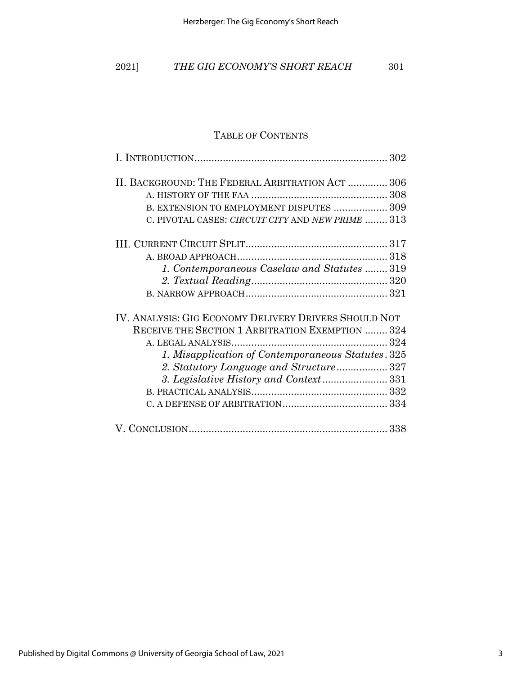| 2021] |  | THE GIG ECONOMY'S SHORT REACH | 301 |
|-------|--|-------------------------------|-----|
|       |  |                               |     |

## TABLE OF CONTENTS

| II. BACKGROUND: THE FEDERAL ARBITRATION ACT  306      |
|-------------------------------------------------------|
|                                                       |
| B. EXTENSION TO EMPLOYMENT DISPUTES  309              |
| C. PIVOTAL CASES: CIRCUIT CITY AND NEW PRIME  313     |
|                                                       |
|                                                       |
| 1. Contemporaneous Caselaw and Statutes  319          |
|                                                       |
|                                                       |
| IV. ANALYSIS: GIG ECONOMY DELIVERY DRIVERS SHOULD NOT |
| RECEIVE THE SECTION 1 ARBITRATION EXEMPTION  324      |
|                                                       |
| 1. Misapplication of Contemporaneous Statutes. 325    |
| 2. Statutory Language and Structure 327               |
|                                                       |
|                                                       |
|                                                       |
|                                                       |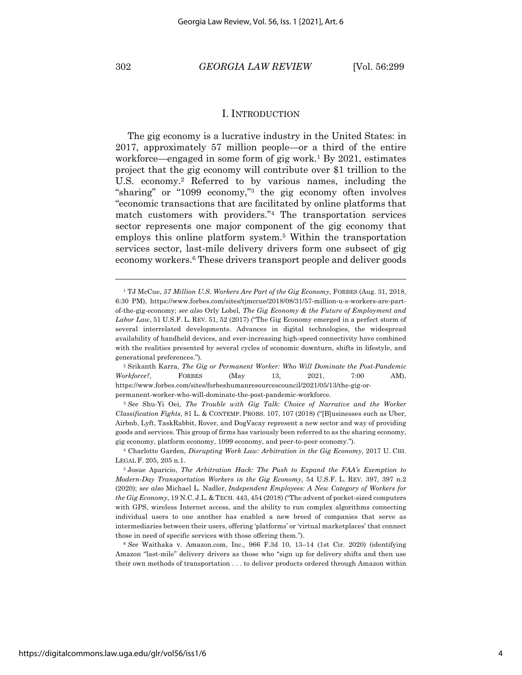#### 302 *GEORGIA LAW REVIEW* [Vol. 56:299

#### I. INTRODUCTION

The gig economy is a lucrative industry in the United States: in 2017, approximately 57 million people—or a third of the entire workforce—engaged in some form of gig work.<sup>1</sup> By 2021, estimates project that the gig economy will contribute over \$1 trillion to the U.S. economy.2 Referred to by various names, including the "sharing" or "1099 economy,"3 the gig economy often involves "economic transactions that are facilitated by online platforms that match customers with providers."4 The transportation services sector represents one major component of the gig economy that employs this online platform system. <sup>5</sup> Within the transportation services sector, last-mile delivery drivers form one subsect of gig economy workers. <sup>6</sup> These drivers transport people and deliver goods

<sup>1</sup> TJ McCue, *57 Million U.S. Workers Are Part of the Gig Economy*, FORBES (Aug. 31, 2018, 6:30 PM), https://www.forbes.com/sites/tjmccue/2018/08/31/57-million-u-s-workers-are-partof-the-gig-economy; *see also* Orly Lobel, *The Gig Economy & the Future of Employment and Labor Law*, 51 U.S.F. L. REV. 51, 52 (2017) ("The Gig Economy emerged in a perfect storm of several interrelated developments. Advances in digital technologies, the widespread availability of handheld devices, and ever-increasing high-speed connectivity have combined with the realities presented by several cycles of economic downturn, shifts in lifestyle, and generational preferences.").

<sup>2</sup> Srikanth Karra, *The Gig or Permanent Worker: Who Will Dominate the Post-Pandemic Workforce?*, FORBES (May 13, 2021, 7:00 AM), https://www.forbes.com/sites/forbeshumanresourcescouncil/2021/05/13/the-gig-orpermanent-worker-who-will-dominate-the-post-pandemic-workforce.

<sup>3</sup> *See* Shu-Yi Oei, *The Trouble with Gig Talk: Choice of Narrative and the Worker Classification Fights*, 81 L. & CONTEMP. PROBS. 107, 107 (2018) ("[B]usinesses such as Uber, Airbnb, Lyft, TaskRabbit, Rover, and DogVacay represent a new sector and way of providing goods and services. This group of firms has variously been referred to as the sharing economy, gig economy, platform economy, 1099 economy, and peer-to-peer economy.").

<sup>4</sup> Charlotte Garden, *Disrupting Work Law: Arbitration in the Gig Economy*, 2017 U. CHI. LEGAL F. 205, 205 n.1.

<sup>5</sup> Josue Aparicio, *The Arbitration Hack: The Push to Expand the FAA's Exemption to Modern-Day Transportation Workers in the Gig Economy*, 54 U.S.F. L. REV. 397, 397 n.2 (2020); *see also* Michael L. Nadler, *Independent Employees: A New Category of Workers for the Gig Economy*, 19 N.C. J.L. & TECH. 443, 454 (2018) ("The advent of pocket-sized computers with GPS, wireless Internet access, and the ability to run complex algorithms connecting individual users to one another has enabled a new breed of companies that serve as intermediaries between their users, offering 'platforms' or 'virtual marketplaces' that connect those in need of specific services with those offering them.").

<sup>6</sup> *See* Waithaka v. Amazon.com, Inc., 966 F.3d 10, 13–14 (1st Cir. 2020) (identifying Amazon "last-mile" delivery drivers as those who "sign up for delivery shifts and then use their own methods of transportation . . . to deliver products ordered through Amazon within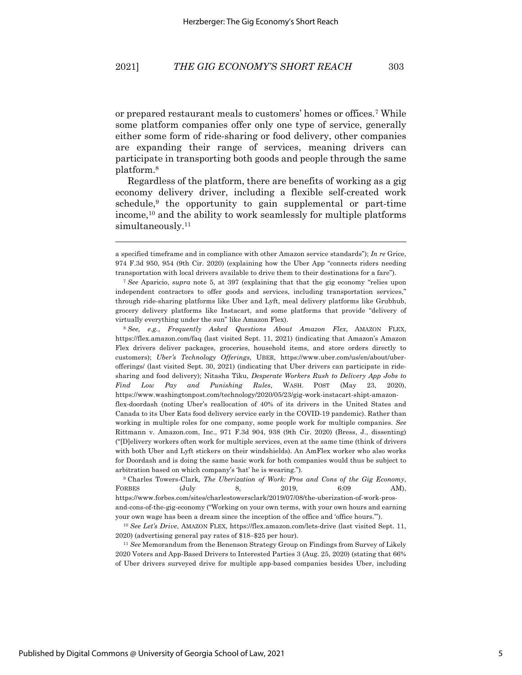or prepared restaurant meals to customers' homes or offices.7 While some platform companies offer only one type of service, generally either some form of ride-sharing or food delivery, other companies are expanding their range of services, meaning drivers can participate in transporting both goods and people through the same platform. 8

Regardless of the platform, there are benefits of working as a gig economy delivery driver, including a flexible self-created work schedule, $9$  the opportunity to gain supplemental or part-time income,10 and the ability to work seamlessly for multiple platforms simultaneously.<sup>11</sup>

<sup>8</sup> *See, e.g.*, *Frequently Asked Questions About Amazon Flex*, AMAZON FLEX, https://flex.amazon.com/faq (last visited Sept. 11, 2021) (indicating that Amazon's Amazon Flex drivers deliver packages, groceries, household items, and store orders directly to customers); *Uber's Technology Offerings,* UBER, https://www.uber.com/us/en/about/uberofferings/ (last visited Sept. 30, 2021) (indicating that Uber drivers can participate in ridesharing and food delivery); Nitasha Tiku, *Desperate Workers Rush to Delivery App Jobs to Find Low Pay and Punishing Rules*, WASH. POST (May 23, 2020), https://www.washingtonpost.com/technology/2020/05/23/gig-work-instacart-shipt-amazonflex-doordash (noting Uber's reallocation of 40% of its drivers in the United States and Canada to its Uber Eats food delivery service early in the COVID-19 pandemic). Rather than working in multiple roles for one company, some people work for multiple companies. *See* Rittmann v. Amazon.com, Inc., 971 F.3d 904, 938 (9th Cir. 2020) (Bress, J., dissenting) ("[D]elivery workers often work for multiple services, even at the same time (think of drivers with both Uber and Lyft stickers on their windshields). An AmFlex worker who also works for Doordash and is doing the same basic work for both companies would thus be subject to arbitration based on which company's 'hat' he is wearing.").

<sup>9</sup> Charles Towers-Clark*, The Uberization of Work: Pros and Cons of the Gig Economy*, FORBES (July 8, 2019, 6:09 AM), https://www.forbes.com/sites/charlestowersclark/2019/07/08/the-uberization-of-work-prosand-cons-of-the-gig-economy ("Working on your own terms, with your own hours and earning your own wage has been a dream since the inception of the office and 'office hours.'").

<sup>10</sup> *See Let's Drive*, AMAZON FLEX, https://flex.amazon.com/lets-drive (last visited Sept. 11, 2020) (advertising general pay rates of \$18-\$25 per hour).

<sup>11</sup> *See* Memorandum from the Benenson Strategy Group on Findings from Survey of Likely 2020 Voters and App-Based Drivers to Interested Parties 3 (Aug. 25, 2020) (stating that 66% of Uber drivers surveyed drive for multiple app-based companies besides Uber, including

a specified timeframe and in compliance with other Amazon service standards"); *In re* Grice, 974 F.3d 950, 954 (9th Cir. 2020) (explaining how the Uber App "connects riders needing transportation with local drivers available to drive them to their destinations for a fare").

<sup>7</sup> *See* Aparicio, *supra* note 5, at 397 (explaining that that the gig economy "relies upon independent contractors to offer goods and services, including transportation services," through ride-sharing platforms like Uber and Lyft, meal delivery platforms like Grubhub, grocery delivery platforms like Instacart, and some platforms that provide "delivery of virtually everything under the sun" like Amazon Flex).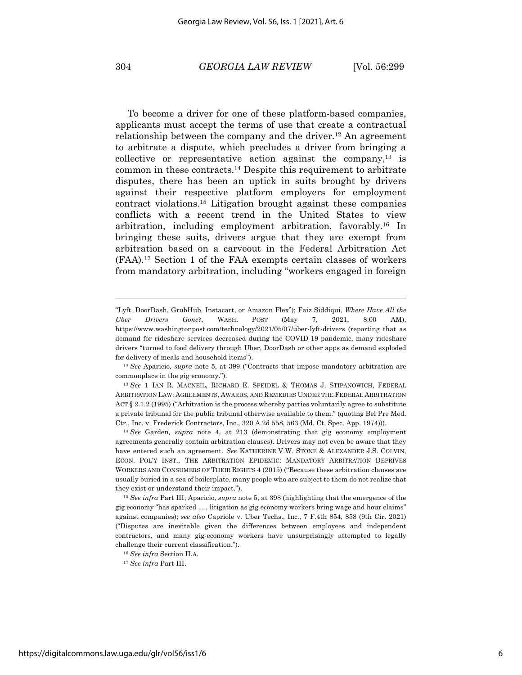To become a driver for one of these platform-based companies, applicants must accept the terms of use that create a contractual relationship between the company and the driver.12 An agreement to arbitrate a dispute, which precludes a driver from bringing a collective or representative action against the company, $13$  is common in these contracts. <sup>14</sup> Despite this requirement to arbitrate disputes, there has been an uptick in suits brought by drivers against their respective platform employers for employment contract violations.15 Litigation brought against these companies conflicts with a recent trend in the United States to view arbitration, including employment arbitration, favorably.16 In bringing these suits, drivers argue that they are exempt from arbitration based on a carveout in the Federal Arbitration Act (FAA).17 Section 1 of the FAA exempts certain classes of workers from mandatory arbitration, including "workers engaged in foreign

<sup>&</sup>quot;Lyft, DoorDash, GrubHub, Instacart, or Amazon Flex"); Faiz Siddiqui, *Where Have All the Uber Drivers Gone?*, WASH. POST (May 7, 2021, 8:00 AM), https://www.washingtonpost.com/technology/2021/05/07/uber-lyft-drivers (reporting that as demand for rideshare services decreased during the COVID-19 pandemic, many rideshare drivers "turned to food delivery through Uber, DoorDash or other apps as demand exploded for delivery of meals and household items").

<sup>12</sup> *See* Aparicio*, supra* note 5, at 399 ("Contracts that impose mandatory arbitration are commonplace in the gig economy.").

<sup>13</sup> *See* 1 IAN R. MACNEIL, RICHARD E. SPEIDEL & THOMAS J. STIPANOWICH, FEDERAL ARBITRATION LAW: AGREEMENTS, AWARDS, AND REMEDIES UNDER THE FEDERAL ARBITRATION ACT § 2.1.2 (1995) ("Arbitration is the process whereby parties voluntarily agree to substitute a private tribunal for the public tribunal otherwise available to them." (quoting Bel Pre Med. Ctr., Inc. v. Frederick Contractors, Inc., 320 A.2d 558, 563 (Md. Ct. Spec. App. 1974))).

<sup>14</sup> *See* Garden*, supra* note 4, at 213 (demonstrating that gig economy employment agreements generally contain arbitration clauses). Drivers may not even be aware that they have entered such an agreement. *See* KATHERINE V.W. STONE & ALEXANDER J.S. COLVIN, ECON. POL'Y INST., THE ARBITRATION EPIDEMIC: MANDATORY ARBITRATION DEPRIVES WORKERS AND CONSUMERS OF THEIR RIGHTS 4 (2015) ("Because these arbitration clauses are usually buried in a sea of boilerplate, many people who are subject to them do not realize that they exist or understand their impact.").

<sup>15</sup> *See infra* Part III; Aparicio, *supra* note 5, at 398 (highlighting that the emergence of the gig economy "has sparked . . . litigation as gig economy workers bring wage and hour claims" against companies); *see also* Capriole v. Uber Techs., Inc*.*, 7 F.4th 854, 858 (9th Cir. 2021) ("Disputes are inevitable given the differences between employees and independent contractors, and many gig-economy workers have unsurprisingly attempted to legally challenge their current classification.").

<sup>16</sup> *See infra* Section II.A.

<sup>17</sup> *See infra* Part III.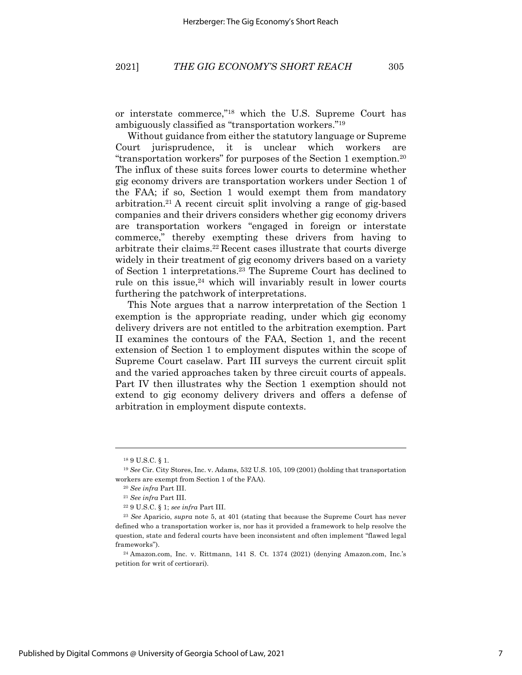or interstate commerce,"18 which the U.S. Supreme Court has ambiguously classified as "transportation workers."19

Without guidance from either the statutory language or Supreme Court jurisprudence, it is unclear which workers are "transportation workers" for purposes of the Section 1 exemption.20 The influx of these suits forces lower courts to determine whether gig economy drivers are transportation workers under Section 1 of the FAA; if so, Section 1 would exempt them from mandatory arbitration.21 A recent circuit split involving a range of gig-based companies and their drivers considers whether gig economy drivers are transportation workers "engaged in foreign or interstate commerce," thereby exempting these drivers from having to arbitrate their claims.22 Recent cases illustrate that courts diverge widely in their treatment of gig economy drivers based on a variety of Section 1 interpretations.23 The Supreme Court has declined to rule on this issue, $24$  which will invariably result in lower courts furthering the patchwork of interpretations.

This Note argues that a narrow interpretation of the Section 1 exemption is the appropriate reading, under which gig economy delivery drivers are not entitled to the arbitration exemption. Part II examines the contours of the FAA, Section 1, and the recent extension of Section 1 to employment disputes within the scope of Supreme Court caselaw. Part III surveys the current circuit split and the varied approaches taken by three circuit courts of appeals. Part IV then illustrates why the Section 1 exemption should not extend to gig economy delivery drivers and offers a defense of arbitration in employment dispute contexts.

<sup>18</sup> 9 U.S.C. § 1.

<sup>19</sup> *See* Cir. City Stores, Inc. v. Adams, 532 U.S. 105, 109 (2001) (holding that transportation workers are exempt from Section 1 of the FAA).

<sup>20</sup> *See infra* Part III.

<sup>21</sup> *See infra* Part III.

<sup>22</sup> 9 U.S.C. § 1; *see infra* Part III.

<sup>23</sup> *See* Aparicio, *supra* note 5, at 401 (stating that because the Supreme Court has never defined who a transportation worker is, nor has it provided a framework to help resolve the question, state and federal courts have been inconsistent and often implement "flawed legal frameworks").

 $^{24}$  Amazon.com, Inc. v. Rittmann, 141 S. Ct. 1374 (2021) (denying Amazon.com, Inc.'s petition for writ of certiorari).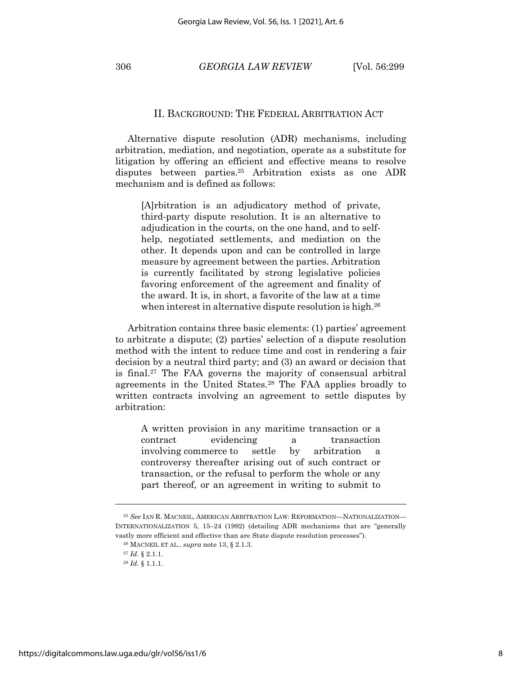306 *GEORGIA LAW REVIEW* [Vol. 56:299

#### II. BACKGROUND: THE FEDERAL ARBITRATION ACT

Alternative dispute resolution (ADR) mechanisms, including arbitration, mediation, and negotiation, operate as a substitute for litigation by offering an efficient and effective means to resolve disputes between parties.<sup>25</sup> Arbitration exists as one ADR mechanism and is defined as follows:

[A]rbitration is an adjudicatory method of private, third-party dispute resolution. It is an alternative to adjudication in the courts, on the one hand, and to selfhelp, negotiated settlements, and mediation on the other. It depends upon and can be controlled in large measure by agreement between the parties. Arbitration is currently facilitated by strong legislative policies favoring enforcement of the agreement and finality of the award. It is, in short, a favorite of the law at a time when interest in alternative dispute resolution is high.<sup>26</sup>

Arbitration contains three basic elements: (1) parties' agreement to arbitrate a dispute; (2) parties' selection of a dispute resolution method with the intent to reduce time and cost in rendering a fair decision by a neutral third party; and (3) an award or decision that is final.27 The FAA governs the majority of consensual arbitral agreements in the United States.28 The FAA applies broadly to written contracts involving an agreement to settle disputes by arbitration:

A written provision in any maritime transaction or a contract evidencing a transaction involving commerce to settle by arbitration a controversy thereafter arising out of such contract or transaction, or the refusal to perform the whole or any part thereof, or an agreement in writing to submit to

<sup>25</sup> *See* IAN R. MACNEIL, AMERICAN ARBITRATION LAW: REFORMATION—NATIONALIZATION— INTERNATIONALIZATION 5, 15–24 (1992) (detailing ADR mechanisms that are "generally vastly more efficient and effective than are State dispute resolution processes").

<sup>26</sup> MACNEIL ET AL., *supra* note 13, § 2.1.3.

<sup>27</sup> *Id.* § 2.1.1.

<sup>28</sup> *Id.* § 1.1.1.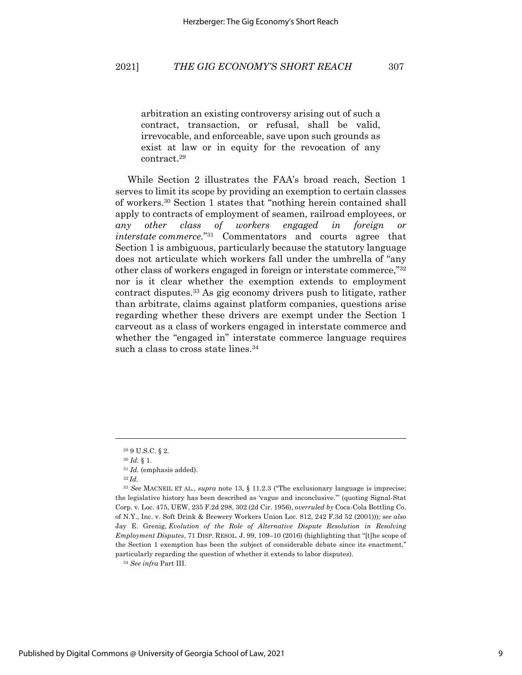arbitration an existing controversy arising out of such a contract, transaction, or refusal, shall be valid, irrevocable, and enforceable, save upon such grounds as exist at law or in equity for the revocation of any contract.29

While Section 2 illustrates the FAA's broad reach, Section 1 serves to limit its scope by providing an exemption to certain classes of workers.30 Section 1 states that "nothing herein contained shall apply to contracts of employment of seamen, railroad employees, or *any other class of workers engaged in foreign or interstate commerce.*"31 Commentators and courts agree that Section 1 is ambiguous, particularly because the statutory language does not articulate which workers fall under the umbrella of "any other class of workers engaged in foreign or interstate commerce,"32 nor is it clear whether the exemption extends to employment contract disputes.33 As gig economy drivers push to litigate, rather than arbitrate, claims against platform companies, questions arise regarding whether these drivers are exempt under the Section 1 carveout as a class of workers engaged in interstate commerce and whether the "engaged in" interstate commerce language requires such a class to cross state lines.<sup>34</sup>

<sup>34</sup> *See infra* Part III.

<sup>29</sup> 9 U.S.C. § 2.

<sup>30</sup> *Id.* § 1.

<sup>31</sup> *Id.* (emphasis added).

<sup>32</sup> *Id.*

<sup>33</sup> *See* MACNEIL ET AL., *supra* note 13, § 11.2.3 ("The exclusionary language is imprecise; the legislative history has been described as 'vague and inconclusive.'" (quoting Signal-Stat Corp. v. Loc. 475, UEW, 235 F.2d 298, 302 (2d Cir. 1956), *overruled by* Coca-Cola Bottling Co. of N.Y., Inc. v. Soft Drink & Brewery Workers Union Loc. 812, 242 F.3d 52 (2001)))*; see also* Jay E. Grenig, *Evolution of the Role of Alternative Dispute Resolution in Resolving Employment Disputes*, 71 DISP. RESOL. J. 99, 109–10 (2016) (highlighting that "[t]he scope of the Section 1 exemption has been the subject of considerable debate since its enactment," particularly regarding the question of whether it extends to labor disputes).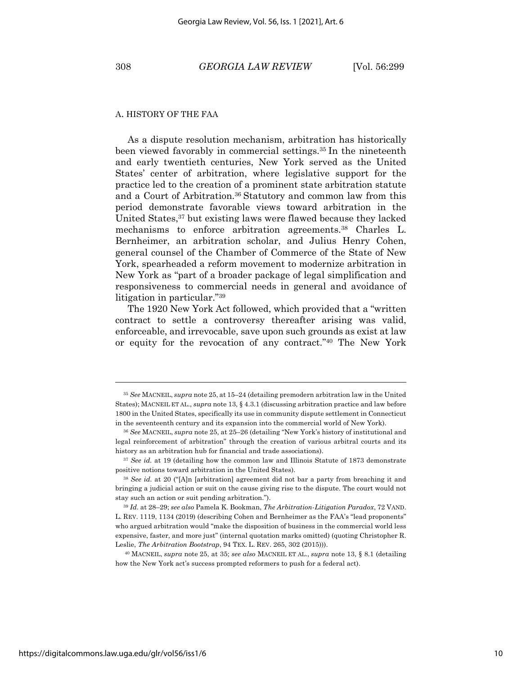#### A. HISTORY OF THE FAA

As a dispute resolution mechanism, arbitration has historically been viewed favorably in commercial settings.35 In the nineteenth and early twentieth centuries, New York served as the United States' center of arbitration, where legislative support for the practice led to the creation of a prominent state arbitration statute and a Court of Arbitration.36 Statutory and common law from this period demonstrate favorable views toward arbitration in the United States,<sup>37</sup> but existing laws were flawed because they lacked mechanisms to enforce arbitration agreements.38 Charles L. Bernheimer, an arbitration scholar, and Julius Henry Cohen, general counsel of the Chamber of Commerce of the State of New York, spearheaded a reform movement to modernize arbitration in New York as "part of a broader package of legal simplification and responsiveness to commercial needs in general and avoidance of litigation in particular."39

The 1920 New York Act followed, which provided that a "written contract to settle a controversy thereafter arising was valid, enforceable, and irrevocable, save upon such grounds as exist at law or equity for the revocation of any contract."40 The New York

<sup>35</sup> *See* MACNEIL, *supra* note 25, at 15–24 (detailing premodern arbitration law in the United States); MACNEIL ET AL., *supra* note 13, § 4.3.1 (discussing arbitration practice and law before 1800 in the United States, specifically its use in community dispute settlement in Connecticut in the seventeenth century and its expansion into the commercial world of New York).

<sup>36</sup> *See* MACNEIL, *supra* note 25, at 25–26 (detailing "New York's history of institutional and legal reinforcement of arbitration" through the creation of various arbitral courts and its history as an arbitration hub for financial and trade associations).

<sup>37</sup> *See id.* at 19 (detailing how the common law and Illinois Statute of 1873 demonstrate positive notions toward arbitration in the United States).

<sup>38</sup> *See id.* at 20 ("[A]n [arbitration] agreement did not bar a party from breaching it and bringing a judicial action or suit on the cause giving rise to the dispute. The court would not stay such an action or suit pending arbitration.").

<sup>39</sup> *Id.* at 28–29; *see also* Pamela K. Bookman, *The Arbitration-Litigation Paradox*, 72 VAND. L. REV. 1119, 1134 (2019) (describing Cohen and Bernheimer as the FAA's "lead proponents" who argued arbitration would "make the disposition of business in the commercial world less expensive, faster, and more just" (internal quotation marks omitted) (quoting Christopher R. Leslie, *The Arbitration Bootstrap*, 94 TEX. L. REV. 265, 302 (2015))).

<sup>40</sup> MACNEIL, *supra* note 25, at 35; *see also* MACNEIL ET AL., *supra* note 13, § 8.1 (detailing how the New York act's success prompted reformers to push for a federal act).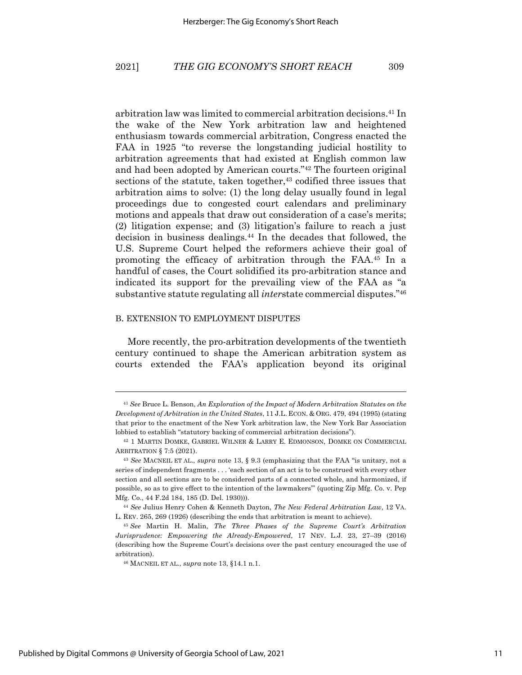arbitration law was limited to commercial arbitration decisions.41 In the wake of the New York arbitration law and heightened enthusiasm towards commercial arbitration, Congress enacted the FAA in 1925 "to reverse the longstanding judicial hostility to arbitration agreements that had existed at English common law and had been adopted by American courts."42 The fourteen original sections of the statute, taken together,<sup>43</sup> codified three issues that arbitration aims to solve: (1) the long delay usually found in legal proceedings due to congested court calendars and preliminary motions and appeals that draw out consideration of a case's merits; (2) litigation expense; and (3) litigation's failure to reach a just decision in business dealings.44 In the decades that followed, the U.S. Supreme Court helped the reformers achieve their goal of promoting the efficacy of arbitration through the FAA.45 In a handful of cases, the Court solidified its pro-arbitration stance and indicated its support for the prevailing view of the FAA as "a substantive statute regulating all *inter*state commercial disputes."46

#### B. EXTENSION TO EMPLOYMENT DISPUTES

More recently, the pro-arbitration developments of the twentieth century continued to shape the American arbitration system as courts extended the FAA's application beyond its original

<sup>41</sup> *See* Bruce L. Benson, *An Exploration of the Impact of Modern Arbitration Statutes on the Development of Arbitration in the United States*, 11 J.L. ECON. & ORG. 479, 494 (1995) (stating that prior to the enactment of the New York arbitration law, the New York Bar Association lobbied to establish "statutory backing of commercial arbitration decisions").

<sup>42</sup> 1 MARTIN DOMKE, GABRIEL WILNER & LARRY E. EDMONSON, DOMKE ON COMMERCIAL ARBITRATION § 7:5 (2021).

<sup>43</sup> *See* MACNEIL ET AL., *supra* note 13, § 9.3 (emphasizing that the FAA "is unitary, not a series of independent fragments . . . 'each section of an act is to be construed with every other section and all sections are to be considered parts of a connected whole, and harmonized, if possible, so as to give effect to the intention of the lawmakers'" (quoting Zip Mfg. Co. v. Pep Mfg. Co., 44 F.2d 184, 185 (D. Del. 1930))).

<sup>44</sup> *See* Julius Henry Cohen & Kenneth Dayton, *The New Federal Arbitration Law*, 12 VA. L. REV. 265, 269 (1926) (describing the ends that arbitration is meant to achieve).

<sup>45</sup> *See* Martin H. Malin, *The Three Phases of the Supreme Court's Arbitration Jurisprudence: Empowering the Already-Empowered*, 17 NEV. L.J. 23, 27–39 (2016) (describing how the Supreme Court's decisions over the past century encouraged the use of arbitration).

<sup>46</sup> MACNEIL ET AL., *supra* note 13, §14.1 n.1.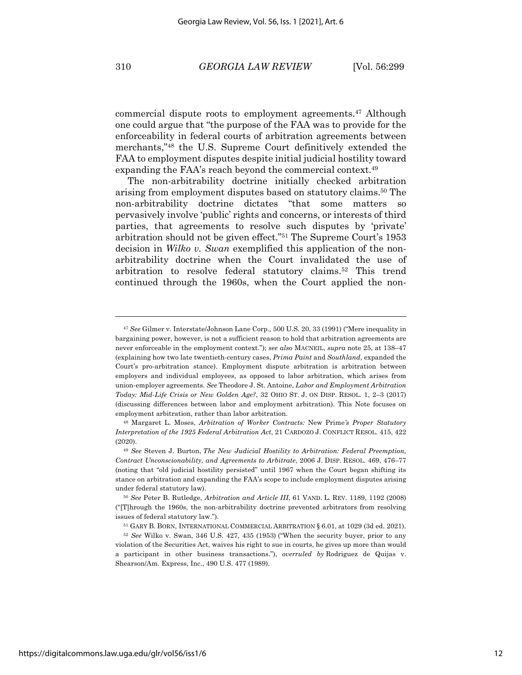commercial dispute roots to employment agreements.47 Although one could argue that "the purpose of the FAA was to provide for the enforceability in federal courts of arbitration agreements between merchants,"48 the U.S. Supreme Court definitively extended the FAA to employment disputes despite initial judicial hostility toward expanding the FAA's reach beyond the commercial context.<sup>49</sup>

The non-arbitrability doctrine initially checked arbitration arising from employment disputes based on statutory claims.50 The non-arbitrability doctrine dictates "that some matters so pervasively involve 'public' rights and concerns, or interests of third parties, that agreements to resolve such disputes by 'private' arbitration should not be given effect."51 The Supreme Court's 1953 decision in *Wilko v. Swan* exemplified this application of the nonarbitrability doctrine when the Court invalidated the use of arbitration to resolve federal statutory claims.52 This trend continued through the 1960s, when the Court applied the non-

<sup>48</sup> Margaret L. Moses, *Arbitration of Worker Contracts:* New Prime*'s Proper Statutory Interpretation of the 1925 Federal Arbitration Act*, 21 CARDOZO J. CONFLICT RESOL. 415, 422 (2020).

<sup>47</sup> *See* Gilmer v. Interstate/Johnson Lane Corp.*,* 500 U.S. 20, 33 (1991) ("Mere inequality in bargaining power, however, is not a sufficient reason to hold that arbitration agreements are never enforceable in the employment context."); *see also* MACNEIL, *supra* note 25, at 138–47 (explaining how two late twentieth-century cases, *Prima Paint* and *Southland*, expanded the Court's pro-arbitration stance). Employment dispute arbitration is arbitration between employers and individual employees, as opposed to labor arbitration, which arises from union-employer agreements. *See* Theodore J. St. Antoine, *Labor and Employment Arbitration Today: Mid-Life Crisis or New Golden Age?*, 32 OHIO ST. J. ON DISP. RESOL. 1, 2–3 (2017) (discussing differences between labor and employment arbitration). This Note focuses on employment arbitration, rather than labor arbitration.

<sup>49</sup> *See* Steven J. Burton, *The New Judicial Hostility to Arbitration: Federal Preemption, Contract Unconscionability, and Agreements to Arbitrate*, 2006 J. DISP. RESOL. 469, 476–77 (noting that "old judicial hostility persisted" until 1967 when the Court began shifting its stance on arbitration and expanding the FAA's scope to include employment disputes arising under federal statutory law).

<sup>50</sup> *See* Peter B. Rutledge, *Arbitration and Article III*, 61 VAND. L. REV. 1189, 1192 (2008) ("[T]hrough the 1960s, the non-arbitrability doctrine prevented arbitrators from resolving issues of federal statutory law.").

<sup>51</sup> GARY B. BORN, INTERNATIONAL COMMERCIAL ARBITRATION § 6.01, at 1029 (3d ed. 2021).

<sup>52</sup> *See* Wilko v. Swan, 346 U.S. 427, 435 (1953) ("When the security buyer, prior to any violation of the Securities Act, waives his right to sue in courts, he gives up more than would a participant in other business transactions."), *overruled by* Rodriguez de Quijas v. Shearson/Am. Express, Inc., 490 U.S. 477 (1989).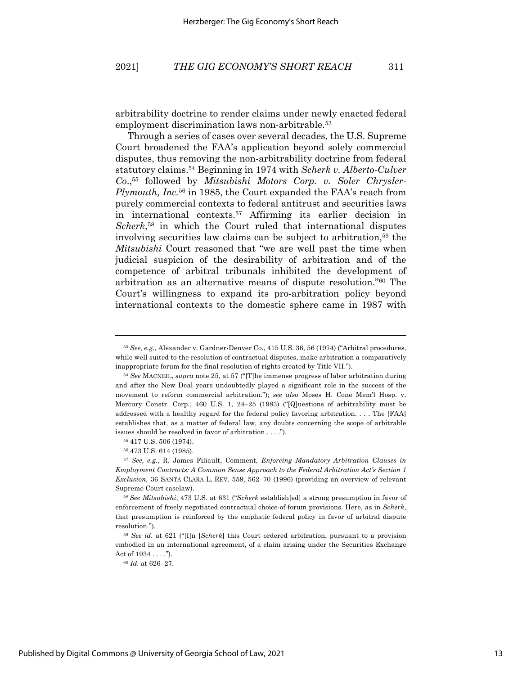arbitrability doctrine to render claims under newly enacted federal employment discrimination laws non-arbitrable.<sup>53</sup>

Through a series of cases over several decades, the U.S. Supreme Court broadened the FAA's application beyond solely commercial disputes, thus removing the non-arbitrability doctrine from federal statutory claims.54 Beginning in 1974 with *Scherk v. Alberto-Culver Co*.,55 followed by *Mitsubishi Motors Corp. v. Soler Chrysler-Plymouth, Inc.*<sup>56</sup> in 1985, the Court expanded the FAA's reach from purely commercial contexts to federal antitrust and securities laws in international contexts.57 Affirming its earlier decision in *Scherk*, <sup>58</sup> in which the Court ruled that international disputes involving securities law claims can be subject to arbitration,59 the *Mitsubishi* Court reasoned that "we are well past the time when judicial suspicion of the desirability of arbitration and of the competence of arbitral tribunals inhibited the development of arbitration as an alternative means of dispute resolution."60 The Court's willingness to expand its pro-arbitration policy beyond international contexts to the domestic sphere came in 1987 with

<sup>53</sup> *See, e.g.*, Alexander v. Gardner-Denver Co., 415 U.S. 36, 56 (1974) ("Arbitral procedures, while well suited to the resolution of contractual disputes, make arbitration a comparatively inappropriate forum for the final resolution of rights created by Title VII.").

<sup>54</sup> *See* MACNEIL, *supra* note 25, at 57 ("[T]he immense progress of labor arbitration during and after the New Deal years undoubtedly played a significant role in the success of the movement to reform commercial arbitration."); *see also* Moses H. Cone Mem'l Hosp. v. Mercury Constr. Corp., 460 U.S. 1, 24–25 (1983) ("[Q]uestions of arbitrability must be addressed with a healthy regard for the federal policy favoring arbitration. . . . The [FAA] establishes that, as a matter of federal law, any doubts concerning the scope of arbitrable issues should be resolved in favor of arbitration . . . .").

<sup>55</sup> 417 U.S. 506 (1974).

<sup>56</sup> 473 U.S. 614 (1985).

<sup>57</sup> *See, e.g.*, R. James Filiault, Comment, *Enforcing Mandatory Arbitration Clauses in Employment Contracts: A Common Sense Approach to the Federal Arbitration Act's Section 1 Exclusion,* 36 SANTA CLARA L. REV. 559, 562–70 (1996) (providing an overview of relevant Supreme Court caselaw).

<sup>58</sup> *See Mitsubishi*, 473 U.S. at 631 ("*Scherk* establish[ed] a strong presumption in favor of enforcement of freely negotiated contractual choice-of-forum provisions. Here, as in *Scherk*, that presumption is reinforced by the emphatic federal policy in favor of arbitral dispute resolution.").

<sup>59</sup> *See id.* at 621 ("[I]n [*Scherk*] this Court ordered arbitration, pursuant to a provision embodied in an international agreement, of a claim arising under the Securities Exchange Act of  $1934...$ .").

<sup>60</sup> *Id.* at 626–27.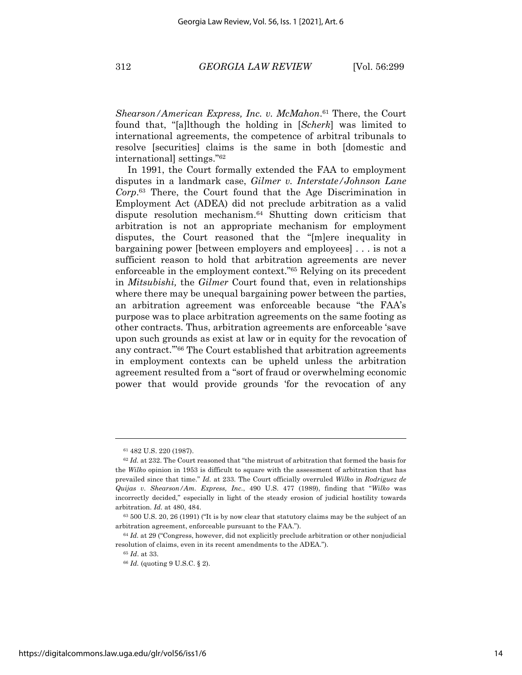*Shearson/American Express, Inc. v. McMahon*. <sup>61</sup> There, the Court found that, "[a]lthough the holding in [*Scherk*] was limited to international agreements, the competence of arbitral tribunals to resolve [securities] claims is the same in both [domestic and international] settings."62

In 1991, the Court formally extended the FAA to employment disputes in a landmark case, *Gilmer v. Interstate/Johnson Lane Corp*. <sup>63</sup> There, the Court found that the Age Discrimination in Employment Act (ADEA) did not preclude arbitration as a valid dispute resolution mechanism.64 Shutting down criticism that arbitration is not an appropriate mechanism for employment disputes, the Court reasoned that the "[m]ere inequality in bargaining power [between employers and employees] . . . is not a sufficient reason to hold that arbitration agreements are never enforceable in the employment context."65 Relying on its precedent in *Mitsubishi,* the *Gilmer* Court found that, even in relationships where there may be unequal bargaining power between the parties, an arbitration agreement was enforceable because "the FAA's purpose was to place arbitration agreements on the same footing as other contracts. Thus, arbitration agreements are enforceable 'save upon such grounds as exist at law or in equity for the revocation of any contract.'"66 The Court established that arbitration agreements in employment contexts can be upheld unless the arbitration agreement resulted from a "sort of fraud or overwhelming economic power that would provide grounds 'for the revocation of any

<sup>61</sup> 482 U.S. 220 (1987).

<sup>62</sup> *Id.* at 232. The Court reasoned that "the mistrust of arbitration that formed the basis for the *Wilko* opinion in 1953 is difficult to square with the assessment of arbitration that has prevailed since that time." *Id.* at 233. The Court officially overruled *Wilko* in *Rodriguez de Quijas v. Shearson/Am. Express, Inc.*, 490 U.S. 477 (1989), finding that "*Wilko* was incorrectly decided," especially in light of the steady erosion of judicial hostility towards arbitration. *Id.* at 480, 484.

<sup>63</sup> 500 U.S. 20, 26 (1991) ("It is by now clear that statutory claims may be the subject of an arbitration agreement, enforceable pursuant to the FAA.").

<sup>64</sup> *Id.* at 29 ("Congress, however, did not explicitly preclude arbitration or other nonjudicial resolution of claims, even in its recent amendments to the ADEA.").

<sup>65</sup> *Id*. at 33.

<sup>66</sup> *Id.* (quoting 9 U.S.C. § 2).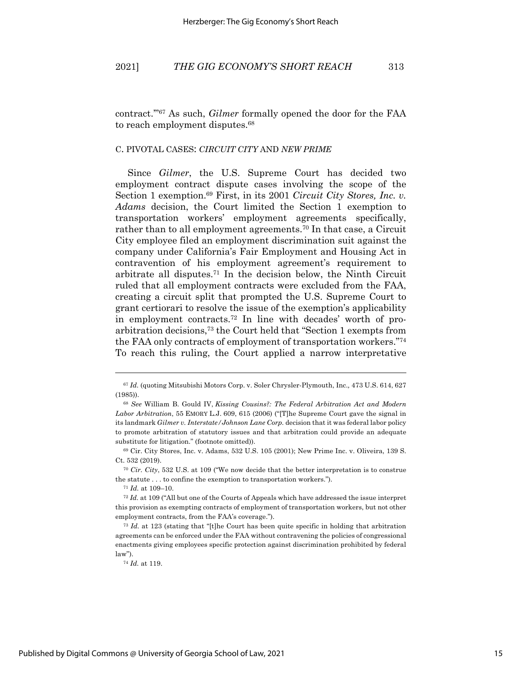contract.'"67 As such, *Gilmer* formally opened the door for the FAA to reach employment disputes.68

#### C. PIVOTAL CASES: *CIRCUIT CITY* AND *NEW PRIME*

Since *Gilmer*, the U.S. Supreme Court has decided two employment contract dispute cases involving the scope of the Section 1 exemption.69 First, in its 2001 *Circuit City Stores, Inc. v. Adams* decision, the Court limited the Section 1 exemption to transportation workers' employment agreements specifically, rather than to all employment agreements.70 In that case, a Circuit City employee filed an employment discrimination suit against the company under California's Fair Employment and Housing Act in contravention of his employment agreement's requirement to arbitrate all disputes.71 In the decision below, the Ninth Circuit ruled that all employment contracts were excluded from the FAA, creating a circuit split that prompted the U.S. Supreme Court to grant certiorari to resolve the issue of the exemption's applicability in employment contracts.72 In line with decades' worth of proarbitration decisions,73 the Court held that "Section 1 exempts from the FAA only contracts of employment of transportation workers."74 To reach this ruling, the Court applied a narrow interpretative

<sup>67</sup> *Id.* (quoting Mitsubishi Motors Corp. v. Soler Chrysler-Plymouth, Inc.*,* 473 U.S. 614, 627 (1985)).

<sup>68</sup> *See* William B. Gould IV, *Kissing Cousins?: The Federal Arbitration Act and Modern Labor Arbitration*, 55 EMORY L.J. 609, 615 (2006) ("[T]he Supreme Court gave the signal in its landmark *Gilmer v. Interstate/Johnson Lane Corp.* decision that it was federal labor policy to promote arbitration of statutory issues and that arbitration could provide an adequate substitute for litigation." (footnote omitted)).

<sup>69</sup> Cir. City Stores, Inc. v. Adams, 532 U.S. 105 (2001); New Prime Inc. v. Oliveira, 139 S. Ct. 532 (2019).

<sup>70</sup> *Cir. City*, 532 U.S. at 109 ("We now decide that the better interpretation is to construe the statute . . . to confine the exemption to transportation workers.").

<sup>71</sup> *Id.* at 109–10.

<sup>72</sup> *Id.* at 109 ("All but one of the Courts of Appeals which have addressed the issue interpret this provision as exempting contracts of employment of transportation workers, but not other employment contracts, from the FAA's coverage.").

<sup>73</sup> *Id.* at 123 (stating that "[t]he Court has been quite specific in holding that arbitration agreements can be enforced under the FAA without contravening the policies of congressional enactments giving employees specific protection against discrimination prohibited by federal law").

<sup>74</sup> *Id.* at 119.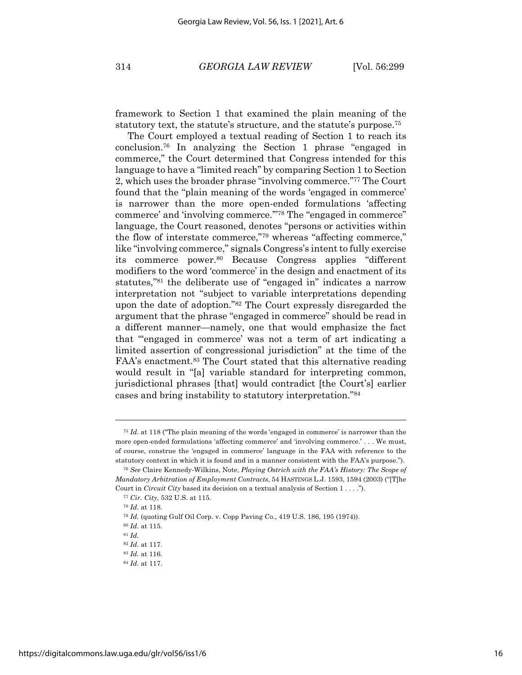framework to Section 1 that examined the plain meaning of the statutory text, the statute's structure, and the statute's purpose.75

The Court employed a textual reading of Section 1 to reach its conclusion.76 In analyzing the Section 1 phrase "engaged in commerce," the Court determined that Congress intended for this language to have a "limited reach" by comparing Section 1 to Section 2, which uses the broader phrase "involving commerce."77 The Court found that the "plain meaning of the words 'engaged in commerce' is narrower than the more open-ended formulations 'affecting commerce' and 'involving commerce.'"78 The "engaged in commerce" language, the Court reasoned, denotes "persons or activities within the flow of interstate commerce,"79 whereas "affecting commerce," like "involving commerce," signals Congress's intent to fully exercise its commerce power.80 Because Congress applies "different modifiers to the word 'commerce' in the design and enactment of its statutes,"81 the deliberate use of "engaged in" indicates a narrow interpretation not "subject to variable interpretations depending upon the date of adoption."82 The Court expressly disregarded the argument that the phrase "engaged in commerce" should be read in a different manner—namely, one that would emphasize the fact that "'engaged in commerce' was not a term of art indicating a limited assertion of congressional jurisdiction" at the time of the FAA's enactment.<sup>83</sup> The Court stated that this alternative reading would result in "[a] variable standard for interpreting common, jurisdictional phrases [that] would contradict [the Court's] earlier cases and bring instability to statutory interpretation."84

<sup>75</sup> *Id.* at 118 ("The plain meaning of the words 'engaged in commerce' is narrower than the more open-ended formulations 'affecting commerce' and 'involving commerce.' . . . We must, of course, construe the 'engaged in commerce' language in the FAA with reference to the statutory context in which it is found and in a manner consistent with the FAA's purpose.").

<sup>76</sup> *See* Claire Kennedy-Wilkins, Note, *Playing Ostrich with the FAA's History: The Scope of Mandatory Arbitration of Employment Contracts*, 54 HASTINGS L.J. 1593, 1594 (2003) ("[T]he Court in *Circuit City* based its decision on a textual analysis of Section 1 . . . .").

<sup>77</sup> *Cir. City*, 532 U.S. at 115.

<sup>78</sup> *Id.* at 118.

<sup>79</sup> *Id.* (quoting Gulf Oil Corp. v. Copp Paving Co., 419 U.S. 186, 195 (1974)).

<sup>80</sup> *Id.* at 115.

<sup>81</sup> *Id.*

<sup>82</sup> *Id.* at 117.

<sup>83</sup> *Id.* at 116.

<sup>84</sup> *Id.* at 117.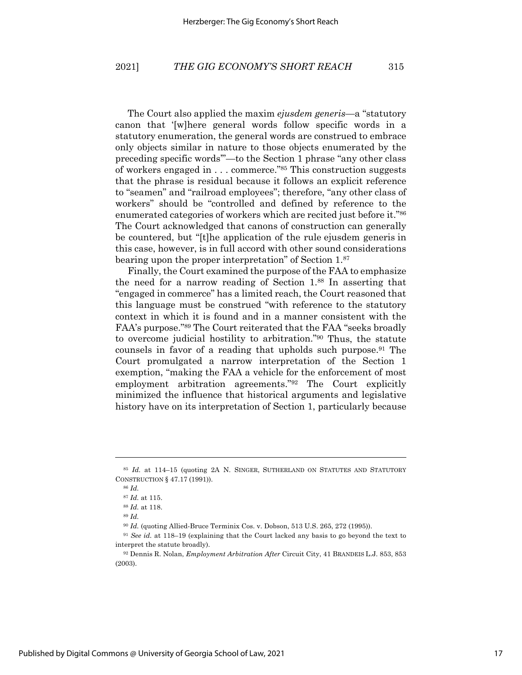The Court also applied the maxim *ejusdem generis*—a "statutory canon that '[w]here general words follow specific words in a statutory enumeration, the general words are construed to embrace only objects similar in nature to those objects enumerated by the preceding specific words'"—to the Section 1 phrase "any other class of workers engaged in . . . commerce."85 This construction suggests that the phrase is residual because it follows an explicit reference to "seamen" and "railroad employees"; therefore, "any other class of workers" should be "controlled and defined by reference to the enumerated categories of workers which are recited just before it."86 The Court acknowledged that canons of construction can generally be countered, but "[t]he application of the rule ejusdem generis in this case, however, is in full accord with other sound considerations bearing upon the proper interpretation" of Section 1.87

Finally, the Court examined the purpose of the FAA to emphasize the need for a narrow reading of Section 1.88 In asserting that "engaged in commerce" has a limited reach, the Court reasoned that this language must be construed "with reference to the statutory context in which it is found and in a manner consistent with the FAA's purpose."89 The Court reiterated that the FAA "seeks broadly to overcome judicial hostility to arbitration."90 Thus, the statute counsels in favor of a reading that upholds such purpose.91 The Court promulgated a narrow interpretation of the Section 1 exemption, "making the FAA a vehicle for the enforcement of most employment arbitration agreements."92 The Court explicitly minimized the influence that historical arguments and legislative history have on its interpretation of Section 1, particularly because

<sup>85</sup> *Id.* at 114–15 (quoting 2A N. SINGER, SUTHERLAND ON STATUTES AND STATUTORY CONSTRUCTION § 47.17 (1991)).

<sup>86</sup> *Id.*

<sup>87</sup> *Id.* at 115.

<sup>88</sup> *Id.* at 118.

<sup>89</sup> *Id.*

<sup>90</sup> *Id.* (quoting Allied-Bruce Terminix Cos. v. Dobson, 513 U.S. 265, 272 (1995)).

<sup>91</sup> *See id.* at 118–19 (explaining that the Court lacked any basis to go beyond the text to interpret the statute broadly).

<sup>92</sup> Dennis R. Nolan, *Employment Arbitration After* Circuit City, 41 BRANDEIS L.J. 853, 853 (2003).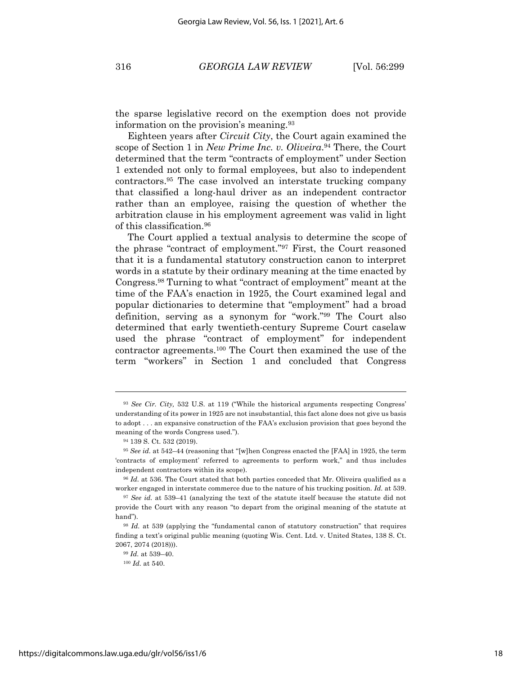the sparse legislative record on the exemption does not provide information on the provision's meaning.93

Eighteen years after *Circuit City*, the Court again examined the scope of Section 1 in *New Prime Inc. v. Oliveira*. <sup>94</sup> There, the Court determined that the term "contracts of employment" under Section 1 extended not only to formal employees, but also to independent contractors.95 The case involved an interstate trucking company that classified a long-haul driver as an independent contractor rather than an employee, raising the question of whether the arbitration clause in his employment agreement was valid in light of this classification.96

The Court applied a textual analysis to determine the scope of the phrase "contract of employment."97 First, the Court reasoned that it is a fundamental statutory construction canon to interpret words in a statute by their ordinary meaning at the time enacted by Congress.98 Turning to what "contract of employment" meant at the time of the FAA's enaction in 1925, the Court examined legal and popular dictionaries to determine that "employment" had a broad definition, serving as a synonym for "work."99 The Court also determined that early twentieth-century Supreme Court caselaw used the phrase "contract of employment" for independent contractor agreements.100 The Court then examined the use of the term "workers" in Section 1 and concluded that Congress

<sup>93</sup> *See Cir. City,* 532 U.S. at 119 ("While the historical arguments respecting Congress' understanding of its power in 1925 are not insubstantial, this fact alone does not give us basis to adopt . . . an expansive construction of the FAA's exclusion provision that goes beyond the meaning of the words Congress used.").

<sup>94</sup> 139 S. Ct. 532 (2019).

<sup>95</sup> *See id.* at 542–44 (reasoning that "[w]hen Congress enacted the [FAA] in 1925, the term 'contracts of employment' referred to agreements to perform work," and thus includes independent contractors within its scope).

<sup>96</sup> *Id.* at 536. The Court stated that both parties conceded that Mr. Oliveira qualified as a worker engaged in interstate commerce due to the nature of his trucking position. *Id.* at 539.

<sup>97</sup> *See id.* at 539–41 (analyzing the text of the statute itself because the statute did not provide the Court with any reason "to depart from the original meaning of the statute at hand").

<sup>98</sup> *Id.* at 539 (applying the "fundamental canon of statutory construction" that requires finding a text's original public meaning (quoting Wis. Cent. Ltd. v. United States, 138 S. Ct. 2067, 2074 (2018))).

<sup>99</sup> *Id.* at 539–40.

<sup>100</sup> *Id.* at 540.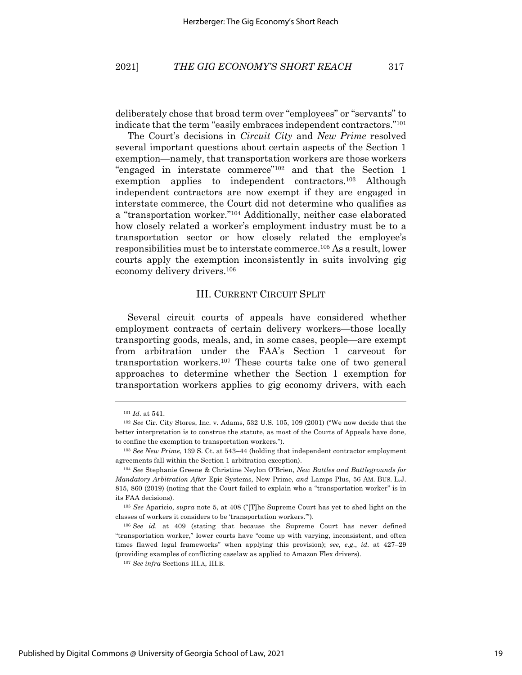deliberately chose that broad term over "employees" or "servants" to indicate that the term "easily embraces independent contractors."101

The Court's decisions in *Circuit City* and *New Prime* resolved several important questions about certain aspects of the Section 1 exemption—namely, that transportation workers are those workers "engaged in interstate commerce"102 and that the Section 1 exemption applies to independent contractors.<sup>103</sup> Although independent contractors are now exempt if they are engaged in interstate commerce, the Court did not determine who qualifies as a "transportation worker."104 Additionally, neither case elaborated how closely related a worker's employment industry must be to a transportation sector or how closely related the employee's responsibilities must be to interstate commerce.105 As a result, lower courts apply the exemption inconsistently in suits involving gig economy delivery drivers.106

#### III. CURRENT CIRCUIT SPLIT

Several circuit courts of appeals have considered whether employment contracts of certain delivery workers—those locally transporting goods, meals, and, in some cases, people—are exempt from arbitration under the FAA's Section 1 carveout for transportation workers.107 These courts take one of two general approaches to determine whether the Section 1 exemption for transportation workers applies to gig economy drivers, with each

<sup>101</sup> *Id.* at 541.

<sup>102</sup> *See* Cir. City Stores, Inc. v. Adams, 532 U.S. 105, 109 (2001) ("We now decide that the better interpretation is to construe the statute, as most of the Courts of Appeals have done, to confine the exemption to transportation workers.").

<sup>103</sup> *See New Prime*, 139 S. Ct. at 543–44 (holding that independent contractor employment agreements fall within the Section 1 arbitration exception).

<sup>104</sup> *See* Stephanie Greene & Christine Neylon O'Brien, *New Battles and Battlegrounds for Mandatory Arbitration After* Epic Systems*,* New Prime*, and* Lamps Plus, 56 AM. BUS. L.J. 815, 860 (2019) (noting that the Court failed to explain who a "transportation worker" is in its FAA decisions).

<sup>105</sup> *See* Aparicio, *supra* note 5, at 408 ("[T]he Supreme Court has yet to shed light on the classes of workers it considers to be 'transportation workers.'").

<sup>106</sup> *See id.* at 409 (stating that because the Supreme Court has never defined "transportation worker," lower courts have "come up with varying, inconsistent, and often times flawed legal frameworks" when applying this provision); *see, e.g.*, *id.* at 427–29 (providing examples of conflicting caselaw as applied to Amazon Flex drivers).

<sup>107</sup> *See infra* Sections III.A, III.B.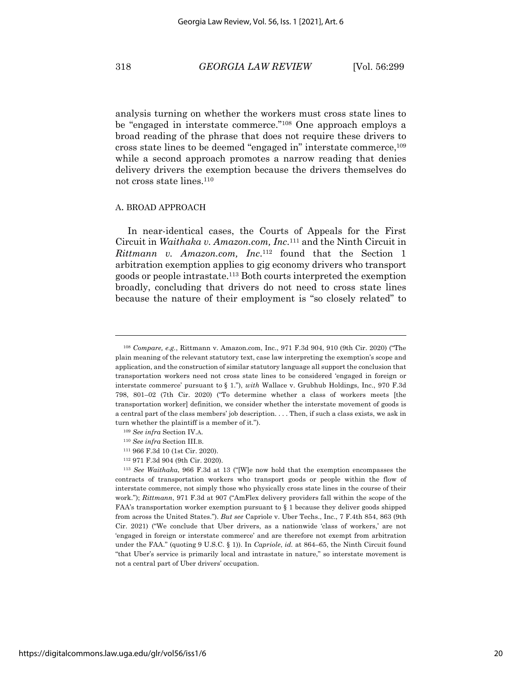analysis turning on whether the workers must cross state lines to be "engaged in interstate commerce."108 One approach employs a broad reading of the phrase that does not require these drivers to cross state lines to be deemed "engaged in" interstate commerce,109 while a second approach promotes a narrow reading that denies delivery drivers the exemption because the drivers themselves do not cross state lines.110

#### A. BROAD APPROACH

In near-identical cases, the Courts of Appeals for the First Circuit in *Waithaka v. Amazon.com, Inc*.111 and the Ninth Circuit in *Rittmann v. Amazon.com, Inc.*<sup>112</sup> found that the Section 1 arbitration exemption applies to gig economy drivers who transport goods or people intrastate.113 Both courts interpreted the exemption broadly, concluding that drivers do not need to cross state lines because the nature of their employment is "so closely related" to

<sup>112</sup> 971 F.3d 904 (9th Cir. 2020).

<sup>108</sup> *Compare, e.g.*, Rittmann v. Amazon.com, Inc., 971 F.3d 904, 910 (9th Cir. 2020) ("The plain meaning of the relevant statutory text, case law interpreting the exemption's scope and application, and the construction of similar statutory language all support the conclusion that transportation workers need not cross state lines to be considered 'engaged in foreign or interstate commerce' pursuant to § 1."), *with* Wallace v. Grubhub Holdings, Inc., 970 F.3d 798, 801–02 (7th Cir. 2020) ("To determine whether a class of workers meets [the transportation worker] definition, we consider whether the interstate movement of goods is a central part of the class members' job description. . . . Then, if such a class exists, we ask in turn whether the plaintiff is a member of it.").

<sup>109</sup> *See infra* Section IV.A.

<sup>110</sup> *See infra* Section III.B.

<sup>111</sup> 966 F.3d 10 (1st Cir. 2020).

<sup>113</sup> *See Waithaka*, 966 F.3d at 13 ("[W]e now hold that the exemption encompasses the contracts of transportation workers who transport goods or people within the flow of interstate commerce, not simply those who physically cross state lines in the course of their work."); *Rittmann*, 971 F.3d at 907 ("AmFlex delivery providers fall within the scope of the FAA's transportation worker exemption pursuant to § 1 because they deliver goods shipped from across the United States."). *But see* Capriole v. Uber Techs., Inc., 7 F.4th 854, 863 (9th Cir. 2021) ("We conclude that Uber drivers, as a nationwide 'class of workers,' are not 'engaged in foreign or interstate commerce' and are therefore not exempt from arbitration under the FAA." (quoting 9 U.S.C. § 1)). In *Capriole*, *id.* at 864–65, the Ninth Circuit found "that Uber's service is primarily local and intrastate in nature," so interstate movement is not a central part of Uber drivers' occupation.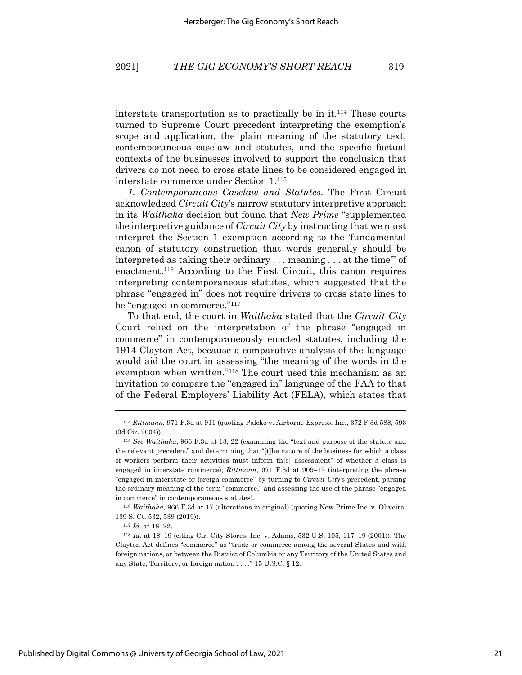interstate transportation as to practically be in it.114 These courts turned to Supreme Court precedent interpreting the exemption's scope and application, the plain meaning of the statutory text, contemporaneous caselaw and statutes, and the specific factual contexts of the businesses involved to support the conclusion that drivers do not need to cross state lines to be considered engaged in interstate commerce under Section 1.115

*1. Contemporaneous Caselaw and Statutes*. The First Circuit acknowledged *Circuit City*'s narrow statutory interpretive approach in its *Waithaka* decision but found that *New Prime* "supplemented the interpretive guidance of *Circuit City* by instructing that we must interpret the Section 1 exemption according to the 'fundamental canon of statutory construction that words generally should be interpreted as taking their ordinary . . . meaning . . . at the time'" of enactment.116 According to the First Circuit, this canon requires interpreting contemporaneous statutes, which suggested that the phrase "engaged in" does not require drivers to cross state lines to be "engaged in commerce."117

To that end, the court in *Waithaka* stated that the *Circuit City* Court relied on the interpretation of the phrase "engaged in commerce" in contemporaneously enacted statutes, including the 1914 Clayton Act, because a comparative analysis of the language would aid the court in assessing "the meaning of the words in the exemption when written."118 The court used this mechanism as an invitation to compare the "engaged in" language of the FAA to that of the Federal Employers' Liability Act (FELA), which states that

<sup>116</sup> *Waithaka*, 966 F.3d at 17 (alterations in original) (quoting New Prime Inc. v. Oliveira*,*  139 S. Ct. 532, 539 (2019)).

<sup>114</sup> *Rittmann*, 971 F.3d at 911 (quoting Palcko v. Airborne Express, Inc., 372 F.3d 588, 593 (3d Cir. 2004)).

<sup>115</sup> *See Waithaka*, 966 F.3d at 13, 22 (examining the "text and purpose of the statute and the relevant precedent" and determining that "[t]he nature of the business for which a class of workers perform their activities must inform th[e] assessment" of whether a class is engaged in interstate commerce); *Rittmann*, 971 F.3d at 909–15 (interpreting the phrase "engaged in interstate or foreign commerce" by turning to *Circuit City*'s precedent, parsing the ordinary meaning of the term "commerce," and assessing the use of the phrase "engaged in commerce" in contemporaneous statutes).

<sup>117</sup> *Id.* at 18–22.

<sup>118</sup> *Id.* at 18–19 (citing Cir. City Stores, Inc. v. Adams, 532 U.S. 105, 117–19 (2001)). The Clayton Act defines "commerce" as "trade or commerce among the several States and with foreign nations, or between the District of Columbia or any Territory of the United States and any State, Territory, or foreign nation . . . ." 15 U.S.C. § 12.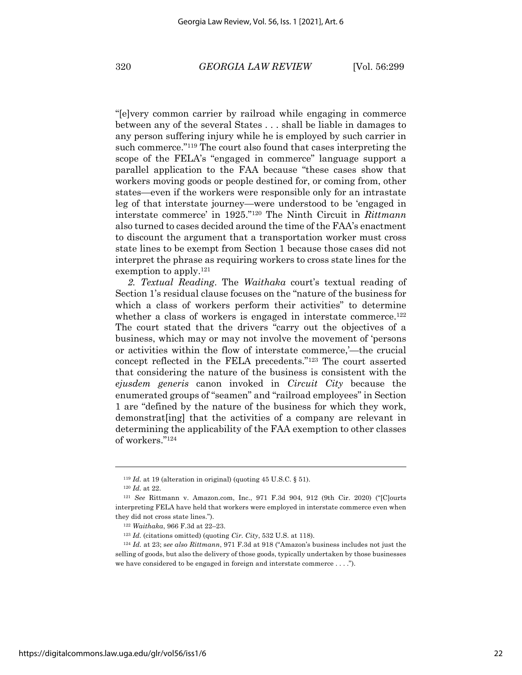"[e]very common carrier by railroad while engaging in commerce between any of the several States . . . shall be liable in damages to any person suffering injury while he is employed by such carrier in such commerce."119 The court also found that cases interpreting the scope of the FELA's "engaged in commerce" language support a parallel application to the FAA because "these cases show that workers moving goods or people destined for, or coming from, other states—even if the workers were responsible only for an intrastate leg of that interstate journey—were understood to be 'engaged in interstate commerce' in 1925."120 The Ninth Circuit in *Rittmann* also turned to cases decided around the time of the FAA's enactment to discount the argument that a transportation worker must cross state lines to be exempt from Section 1 because those cases did not interpret the phrase as requiring workers to cross state lines for the exemption to apply.<sup>121</sup>

*2. Textual Reading*. The *Waithaka* court's textual reading of Section 1's residual clause focuses on the "nature of the business for which a class of workers perform their activities" to determine whether a class of workers is engaged in interstate commerce.<sup>122</sup> The court stated that the drivers "carry out the objectives of a business, which may or may not involve the movement of 'persons or activities within the flow of interstate commerce,'—the crucial concept reflected in the FELA precedents."123 The court asserted that considering the nature of the business is consistent with the *ejusdem generis* canon invoked in *Circuit City* because the enumerated groups of "seamen" and "railroad employees" in Section 1 are "defined by the nature of the business for which they work, demonstrat[ing] that the activities of a company are relevant in determining the applicability of the FAA exemption to other classes of workers."124

<sup>119</sup> *Id.* at 19 (alteration in original) (quoting 45 U.S.C. § 51).

<sup>120</sup> *Id.* at 22.

<sup>121</sup> *See* Rittmann v. Amazon.com, Inc., 971 F.3d 904, 912 (9th Cir. 2020) ("[C]ourts interpreting FELA have held that workers were employed in interstate commerce even when they did not cross state lines.").

<sup>122</sup> *Waithaka*, 966 F.3d at 22–23.

<sup>123</sup> *Id.* (citations omitted) (quoting *Cir. City*, 532 U.S. at 118).

<sup>124</sup> *Id.* at 23; s*ee also Rittmann*, 971 F.3d at 918 ("Amazon's business includes not just the selling of goods, but also the delivery of those goods, typically undertaken by those businesses we have considered to be engaged in foreign and interstate commerce . . . .").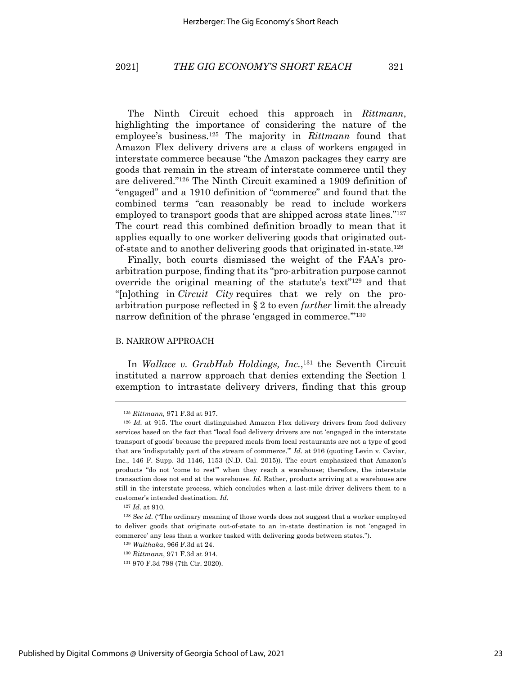The Ninth Circuit echoed this approach in *Rittmann*, highlighting the importance of considering the nature of the employee's business.125 The majority in *Rittmann* found that Amazon Flex delivery drivers are a class of workers engaged in interstate commerce because "the Amazon packages they carry are goods that remain in the stream of interstate commerce until they are delivered."126 The Ninth Circuit examined a 1909 definition of "engaged" and a 1910 definition of "commerce" and found that the combined terms "can reasonably be read to include workers employed to transport goods that are shipped across state lines."127 The court read this combined definition broadly to mean that it applies equally to one worker delivering goods that originated outof-state and to another delivering goods that originated in-state.128

Finally, both courts dismissed the weight of the FAA's proarbitration purpose, finding that its "pro-arbitration purpose cannot override the original meaning of the statute's text"129 and that "[n]othing in *Circuit City* requires that we rely on the proarbitration purpose reflected in § 2 to even *further* limit the already narrow definition of the phrase 'engaged in commerce."<sup>130</sup>

#### B. NARROW APPROACH

In *Wallace v. GrubHub Holdings, Inc.*, <sup>131</sup> the Seventh Circuit instituted a narrow approach that denies extending the Section 1 exemption to intrastate delivery drivers, finding that this group

<sup>125</sup> *Rittmann,* 971 F.3d at 917.

<sup>&</sup>lt;sup>126</sup> *Id.* at 915. The court distinguished Amazon Flex delivery drivers from food delivery services based on the fact that "local food delivery drivers are not 'engaged in the interstate transport of goods' because the prepared meals from local restaurants are not a type of good that are 'indisputably part of the stream of commerce.'" *Id.* at 916 (quoting Levin v. Caviar, Inc*.*, 146 F. Supp. 3d 1146, 1153 (N.D. Cal. 2015)). The court emphasized that Amazon's products "do not 'come to rest'" when they reach a warehouse; therefore, the interstate transaction does not end at the warehouse. *Id.* Rather, products arriving at a warehouse are still in the interstate process, which concludes when a last-mile driver delivers them to a customer's intended destination. *Id.*

<sup>127</sup> *Id.* at 910.

<sup>128</sup> *See id.* ("The ordinary meaning of those words does not suggest that a worker employed to deliver goods that originate out-of-state to an in-state destination is not 'engaged in commerce' any less than a worker tasked with delivering goods between states.").

<sup>129</sup> *Waithaka*, 966 F.3d at 24.

<sup>130</sup> *Rittmann*, 971 F.3d at 914.

<sup>131</sup> 970 F.3d 798 (7th Cir. 2020).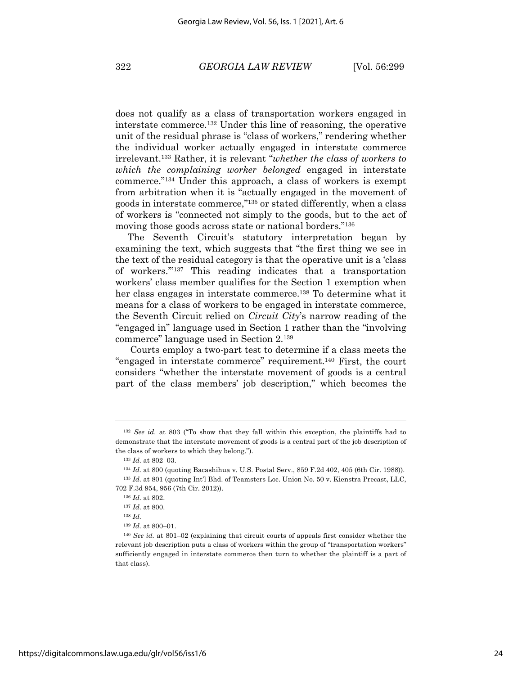does not qualify as a class of transportation workers engaged in interstate commerce.132 Under this line of reasoning, the operative unit of the residual phrase is "class of workers," rendering whether the individual worker actually engaged in interstate commerce irrelevant. <sup>133</sup> Rather, it is relevant "*whether the class of workers to which the complaining worker belonged* engaged in interstate commerce."134 Under this approach, a class of workers is exempt from arbitration when it is "actually engaged in the movement of goods in interstate commerce,"135 or stated differently, when a class of workers is "connected not simply to the goods, but to the act of moving those goods across state or national borders."136

The Seventh Circuit's statutory interpretation began by examining the text, which suggests that "the first thing we see in the text of the residual category is that the operative unit is a 'class of workers.'"137 This reading indicates that a transportation workers' class member qualifies for the Section 1 exemption when her class engages in interstate commerce.<sup>138</sup> To determine what it means for a class of workers to be engaged in interstate commerce, the Seventh Circuit relied on *Circuit City*'s narrow reading of the "engaged in" language used in Section 1 rather than the "involving commerce" language used in Section 2.139

Courts employ a two-part test to determine if a class meets the "engaged in interstate commerce" requirement.140 First, the court considers "whether the interstate movement of goods is a central part of the class members' job description," which becomes the

<sup>132</sup> *See id.* at 803 ("To show that they fall within this exception, the plaintiffs had to demonstrate that the interstate movement of goods is a central part of the job description of the class of workers to which they belong.").

<sup>133</sup> *Id.* at 802–03.

<sup>134</sup> *Id.* at 800 (quoting Bacashihua v. U.S. Postal Serv., 859 F.2d 402, 405 (6th Cir. 1988)). <sup>135</sup> *Id.* at 801 (quoting Int'l Bhd. of Teamsters Loc. Union No. 50 v. Kienstra Precast, LLC, 702 F.3d 954, 956 (7th Cir. 2012)).

<sup>136</sup> *Id.* at 802.

<sup>137</sup> *Id.* at 800.

<sup>138</sup> *Id.*

<sup>139</sup> *Id.* at 800–01.

<sup>140</sup> *See id.* at 801–02 (explaining that circuit courts of appeals first consider whether the relevant job description puts a class of workers within the group of "transportation workers" sufficiently engaged in interstate commerce then turn to whether the plaintiff is a part of that class).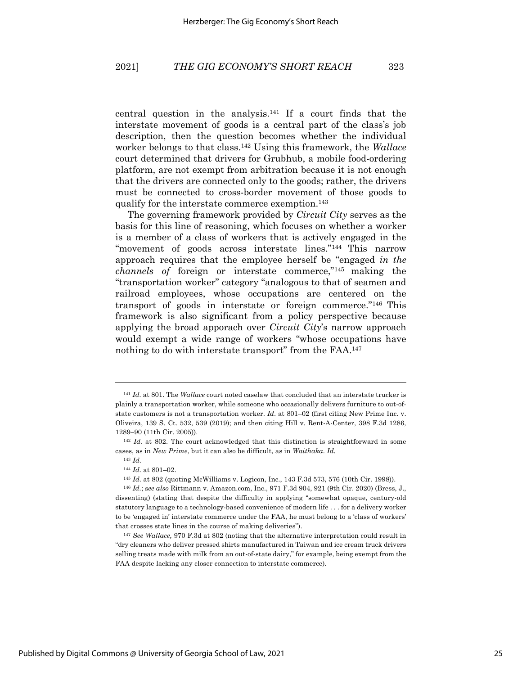central question in the analysis.<sup>141</sup> If a court finds that the interstate movement of goods is a central part of the class's job description, then the question becomes whether the individual worker belongs to that class.142 Using this framework, the *Wallace*  court determined that drivers for Grubhub, a mobile food-ordering platform, are not exempt from arbitration because it is not enough that the drivers are connected only to the goods; rather, the drivers must be connected to cross-border movement of those goods to qualify for the interstate commerce exemption. 143

The governing framework provided by *Circuit City* serves as the basis for this line of reasoning, which focuses on whether a worker is a member of a class of workers that is actively engaged in the "movement of goods across interstate lines."144 This narrow approach requires that the employee herself be "engaged *in the channels of* foreign or interstate commerce,"145 making the "transportation worker" category "analogous to that of seamen and railroad employees, whose occupations are centered on the transport of goods in interstate or foreign commerce."146 This framework is also significant from a policy perspective because applying the broad apporach over *Circuit City*'s narrow approach would exempt a wide range of workers "whose occupations have nothing to do with interstate transport" from the FAA.<sup>147</sup>

<sup>141</sup> *Id.* at 801. The *Wallace* court noted caselaw that concluded that an interstate trucker is plainly a transportation worker, while someone who occasionally delivers furniture to out-ofstate customers is not a transportation worker. *Id*. at 801–02 (first citing New Prime Inc. v. Oliveira, 139 S. Ct. 532, 539 (2019); and then citing Hill v. Rent-A-Center, 398 F.3d 1286, 1289–90 (11th Cir. 2005)).

<sup>142</sup> *Id.* at 802. The court acknowledged that this distinction is straightforward in some cases, as in *New Prime*, but it can also be difficult, as in *Waithaka*. *Id.*

<sup>143</sup> *Id.*

<sup>144</sup> *Id.* at 801–02.

<sup>145</sup> *Id.* at 802 (quoting McWilliams v. Logicon, Inc., 143 F.3d 573, 576 (10th Cir. 1998)).

<sup>146</sup> *Id.*; s*ee also* Rittmann v. Amazon.com, Inc., 971 F.3d 904, 921 (9th Cir. 2020) (Bress, J., dissenting) (stating that despite the difficulty in applying "somewhat opaque, century-old statutory language to a technology-based convenience of modern life . . . for a delivery worker to be 'engaged in' interstate commerce under the FAA, he must belong to a 'class of workers' that crosses state lines in the course of making deliveries").

<sup>147</sup> *See Wallace,* 970 F.3d at 802 (noting that the alternative interpretation could result in "dry cleaners who deliver pressed shirts manufactured in Taiwan and ice cream truck drivers selling treats made with milk from an out-of-state dairy," for example, being exempt from the FAA despite lacking any closer connection to interstate commerce).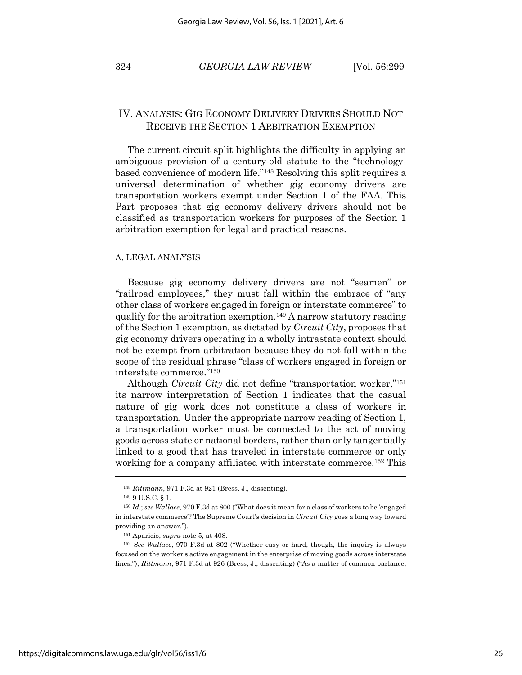## IV. ANALYSIS: GIG ECONOMY DELIVERY DRIVERS SHOULD NOT RECEIVE THE SECTION 1 ARBITRATION EXEMPTION

The current circuit split highlights the difficulty in applying an ambiguous provision of a century-old statute to the "technologybased convenience of modern life."148 Resolving this split requires a universal determination of whether gig economy drivers are transportation workers exempt under Section 1 of the FAA. This Part proposes that gig economy delivery drivers should not be classified as transportation workers for purposes of the Section 1 arbitration exemption for legal and practical reasons.

#### A. LEGAL ANALYSIS

Because gig economy delivery drivers are not "seamen" or "railroad employees," they must fall within the embrace of "any other class of workers engaged in foreign or interstate commerce" to qualify for the arbitration exemption.149 A narrow statutory reading of the Section 1 exemption, as dictated by *Circuit City*, proposes that gig economy drivers operating in a wholly intrastate context should not be exempt from arbitration because they do not fall within the scope of the residual phrase "class of workers engaged in foreign or interstate commerce."150

Although *Circuit City* did not define "transportation worker,"151 its narrow interpretation of Section 1 indicates that the casual nature of gig work does not constitute a class of workers in transportation. Under the appropriate narrow reading of Section 1, a transportation worker must be connected to the act of moving goods across state or national borders, rather than only tangentially linked to a good that has traveled in interstate commerce or only working for a company affiliated with interstate commerce.<sup>152</sup> This

<sup>148</sup> *Rittmann*, 971 F.3d at 921 (Bress, J., dissenting).

<sup>149</sup> 9 U.S.C. § 1.

<sup>150</sup> *Id*.; *see Wallace*, 970 F.3d at 800 ("What does it mean for a class of workers to be 'engaged in interstate commerce'? The Supreme Court's decision in *Circuit City* goes a long way toward providing an answer.").

<sup>151</sup> Aparicio, *supra* note 5, at 408.

<sup>152</sup> *See Wallace*, 970 F.3d at 802 ("Whether easy or hard, though, the inquiry is always focused on the worker's active engagement in the enterprise of moving goods across interstate lines."); *Rittmann*, 971 F.3d at 926 (Bress, J., dissenting) ("As a matter of common parlance,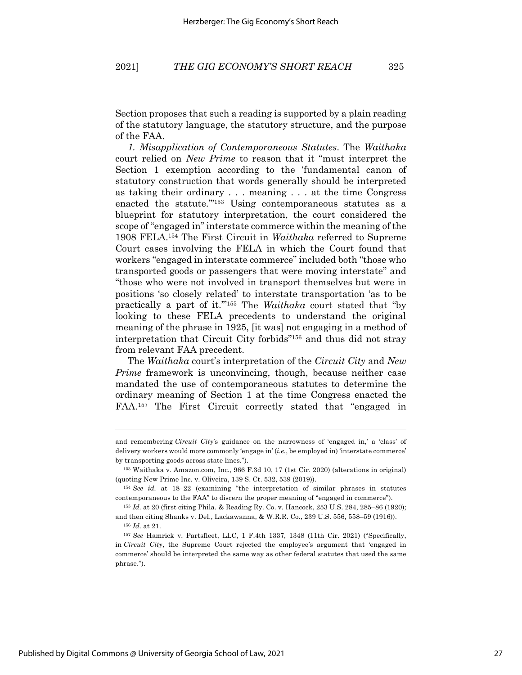Section proposes that such a reading is supported by a plain reading of the statutory language, the statutory structure, and the purpose of the FAA.

*1. Misapplication of Contemporaneous Statutes*. The *Waithaka* court relied on *New Prime* to reason that it "must interpret the Section 1 exemption according to the 'fundamental canon of statutory construction that words generally should be interpreted as taking their ordinary . . . meaning . . . at the time Congress enacted the statute."<sup>153</sup> Using contemporaneous statutes as a blueprint for statutory interpretation, the court considered the scope of "engaged in" interstate commerce within the meaning of the 1908 FELA.154 The First Circuit in *Waithaka* referred to Supreme Court cases involving the FELA in which the Court found that workers "engaged in interstate commerce" included both "those who transported goods or passengers that were moving interstate" and "those who were not involved in transport themselves but were in positions 'so closely related' to interstate transportation 'as to be practically a part of it.'"155 The *Waithaka* court stated that "by looking to these FELA precedents to understand the original meaning of the phrase in 1925, [it was] not engaging in a method of interpretation that Circuit City forbids"156 and thus did not stray from relevant FAA precedent.

The *Waithaka* court's interpretation of the *Circuit City* and *New Prime* framework is unconvincing, though, because neither case mandated the use of contemporaneous statutes to determine the ordinary meaning of Section 1 at the time Congress enacted the FAA.157 The First Circuit correctly stated that "engaged in

and remembering *Circuit City*'s guidance on the narrowness of 'engaged in,' a 'class' of delivery workers would more commonly 'engage in' (*i.e.*, be employed in) 'interstate commerce' by transporting goods across state lines.").

<sup>153</sup> Waithaka v. Amazon.com, Inc., 966 F.3d 10, 17 (1st Cir. 2020) (alterations in original) (quoting New Prime Inc. v. Oliveira, 139 S. Ct. 532, 539 (2019)).

<sup>154</sup> *See id.* at 18–22 (examining "the interpretation of similar phrases in statutes contemporaneous to the FAA" to discern the proper meaning of "engaged in commerce").

<sup>155</sup> *Id.* at 20 (first citing Phila. & Reading Ry. Co. v. Hancock, 253 U.S. 284, 285-86 (1920); and then citing Shanks v. Del., Lackawanna, & W.R.R. Co., 239 U.S. 556, 558–59 (1916)). <sup>156</sup> *Id.* at 21.

<sup>157</sup> *See* Hamrick v. Partsfleet, LLC, 1 F.4th 1337, 1348 (11th Cir. 2021) ("Specifically, in *Circuit City*, the Supreme Court rejected the employee's argument that 'engaged in commerce' should be interpreted the same way as other federal statutes that used the same phrase.").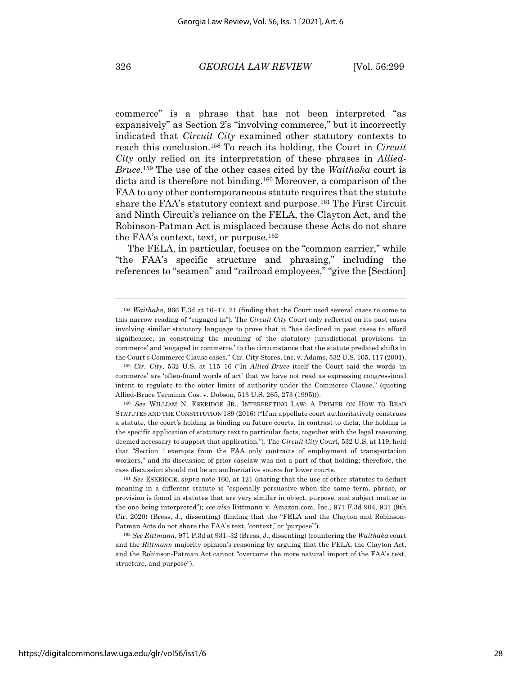commerce" is a phrase that has not been interpreted "as expansively" as Section 2's "involving commerce," but it incorrectly indicated that *Circuit City* examined other statutory contexts to reach this conclusion.158 To reach its holding, the Court in *Circuit City* only relied on its interpretation of these phrases in *Allied-Bruce*. <sup>159</sup> The use of the other cases cited by the *Waithaka* court is dicta and is therefore not binding.<sup>160</sup> Moreover, a comparison of the FAA to any other contemporaneous statute requires that the statute share the FAA's statutory context and purpose.161 The First Circuit and Ninth Circuit's reliance on the FELA, the Clayton Act, and the Robinson-Patman Act is misplaced because these Acts do not share the FAA's context, text, or purpose.162

The FELA, in particular, focuses on the "common carrier," while "the FAA's specific structure and phrasing," including the references to "seamen" and "railroad employees," "give the [Section]

<sup>158</sup> *Waithaka*, 966 F.3d at 16–17, 21 (finding that the Court used several cases to come to this narrow reading of "engaged in"). The *Circuit City* Court only reflected on its past cases involving similar statutory language to prove that it "has declined in past cases to afford significance, in construing the meaning of the statutory jurisdictional provisions 'in commerce' and 'engaged in commerce,' to the circumstance that the statute predated shifts in the Court's Commerce Clause cases." Cir. City Stores, Inc. v. Adams, 532 U.S. 105, 117 (2001).

<sup>159</sup> *Cir. City*, 532 U.S. at 115–16 ("In *Allied-Bruce* itself the Court said the words 'in commerce' are 'often-found words of art' that we have not read as expressing congressional intent to regulate to the outer limits of authority under the Commerce Clause." (quoting Allied-Bruce Terminix Cos. v. Dobson, 513 U.S. 265, 273 (1995))).

<sup>160</sup> *See* WILLIAM N. ESKRIDGE JR., INTERPRETING LAW: A PRIMER ON HOW TO READ STATUTES AND THE CONSTITUTION 189 (2016) ("If an appellate court authoritatively construes a statute, the court's holding is binding on future courts. In contrast to dicta, the holding is the specific application of statutory text to particular facts, together with the legal reasoning deemed necessary to support that application."). The *Circuit City* Court, 532 U.S. at 119, held that "Section 1 exempts from the FAA only contracts of employment of transportation workers," and its discussion of prior caselaw was not a part of that holding; therefore, the case discussion should not be an authoritative source for lower courts.

<sup>161</sup> *See* ESKRIDGE, *supra* note 160, at 121 (stating that the use of other statutes to deduct meaning in a different statute is "especially persuasive when the same term, phrase, or provision is found in statutes that are very similar in object, purpose, and subject matter to the one being interpreted"); *see also* Rittmann v. Amazon.com, Inc., 971 F.3d 904, 931 (9th Cir. 2020) (Bress, J., dissenting) (finding that the "FELA and the Clayton and Robinson-Patman Acts do not share the FAA's text, 'context,' or 'purpose'").

<sup>162</sup> *See Rittmann*, 971 F.3d at 931–32 (Bress, J., dissenting) (countering the *Waithaka* court and the *Rittmann* majority opinion's reasoning by arguing that the FELA, the Clayton Act, and the Robinson-Patman Act cannot "overcome the more natural import of the FAA's text, structure, and purpose").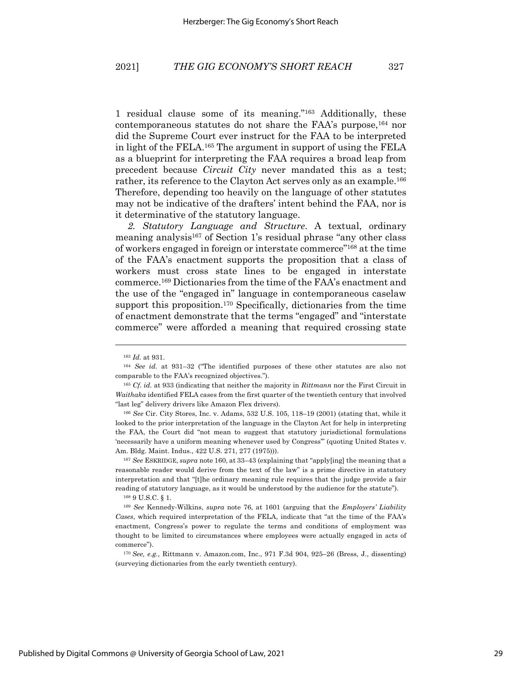1 residual clause some of its meaning."163 Additionally, these contemporaneous statutes do not share the FAA's purpose,164 nor did the Supreme Court ever instruct for the FAA to be interpreted in light of the FELA.165 The argument in support of using the FELA as a blueprint for interpreting the FAA requires a broad leap from precedent because *Circuit City* never mandated this as a test; rather, its reference to the Clayton Act serves only as an example.<sup>166</sup> Therefore, depending too heavily on the language of other statutes may not be indicative of the drafters' intent behind the FAA, nor is it determinative of the statutory language.

*2. Statutory Language and Structure*. A textual, ordinary meaning analysis<sup>167</sup> of Section 1's residual phrase "any other class" of workers engaged in foreign or interstate commerce"168 at the time of the FAA's enactment supports the proposition that a class of workers must cross state lines to be engaged in interstate commerce.169 Dictionaries from the time of the FAA's enactment and the use of the "engaged in" language in contemporaneous caselaw support this proposition.<sup>170</sup> Specifically, dictionaries from the time of enactment demonstrate that the terms "engaged" and "interstate commerce" were afforded a meaning that required crossing state

<sup>166</sup> *See* Cir. City Stores, Inc. v. Adams, 532 U.S. 105, 118–19 (2001) (stating that, while it looked to the prior interpretation of the language in the Clayton Act for help in interpreting the FAA, the Court did "not mean to suggest that statutory jurisdictional formulations 'necessarily have a uniform meaning whenever used by Congress'" (quoting United States v. Am. Bldg. Maint. Indus., 422 U.S. 271, 277 (1975))).

<sup>167</sup> *See* ESKRIDGE, *supra* note 160, at 33–43 (explaining that "apply[ing] the meaning that a reasonable reader would derive from the text of the law" is a prime directive in statutory interpretation and that "[t]he ordinary meaning rule requires that the judge provide a fair reading of statutory language, as it would be understood by the audience for the statute").

<sup>168</sup> 9 U.S.C. § 1.

<sup>163</sup> *Id.* at 931.

<sup>164</sup> *See id.* at 931–32 ("The identified purposes of these other statutes are also not comparable to the FAA's recognized objectives.").

<sup>165</sup> *Cf. id.* at 933 (indicating that neither the majority in *Rittmann* nor the First Circuit in *Waithaka* identified FELA cases from the first quarter of the twentieth century that involved "last leg" delivery drivers like Amazon Flex drivers).

<sup>169</sup> *See* Kennedy-Wilkins, *supra* note 76, at 1601 (arguing that the *Employers' Liability Cases*, which required interpretation of the FELA, indicate that "at the time of the FAA's enactment, Congress's power to regulate the terms and conditions of employment was thought to be limited to circumstances where employees were actually engaged in acts of commerce").

<sup>170</sup> *See, e.g.*, Rittmann v. Amazon.com, Inc., 971 F.3d 904, 925–26 (Bress, J., dissenting) (surveying dictionaries from the early twentieth century).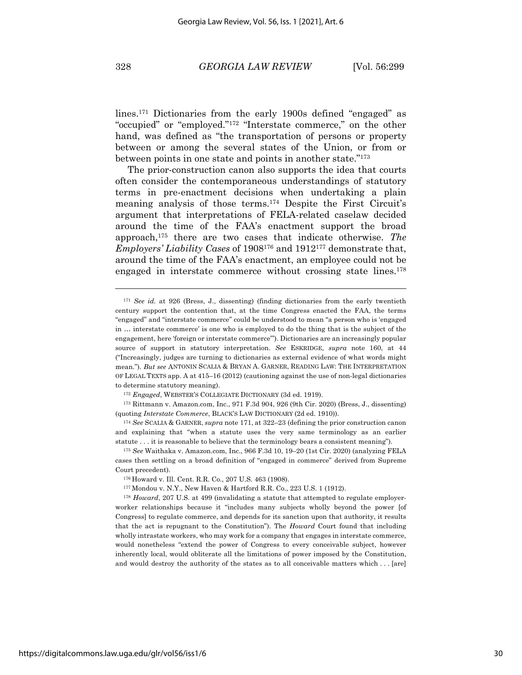lines.171 Dictionaries from the early 1900s defined "engaged" as "occupied" or "employed."172 "Interstate commerce," on the other hand, was defined as "the transportation of persons or property between or among the several states of the Union, or from or between points in one state and points in another state."173

The prior-construction canon also supports the idea that courts often consider the contemporaneous understandings of statutory terms in pre-enactment decisions when undertaking a plain meaning analysis of those terms. <sup>174</sup> Despite the First Circuit's argument that interpretations of FELA-related caselaw decided around the time of the FAA's enactment support the broad approach,175 there are two cases that indicate otherwise. *The Employers' Liability Cases* of 1908176 and 1912177 demonstrate that, around the time of the FAA's enactment, an employee could not be engaged in interstate commerce without crossing state lines. 178

<sup>171</sup> *See id.* at 926 (Bress, J., dissenting) (finding dictionaries from the early twentieth century support the contention that, at the time Congress enacted the FAA, the terms "engaged" and "interstate commerce" could be understood to mean "a person who is 'engaged in … interstate commerce' is one who is employed to do the thing that is the subject of the engagement, here 'foreign or interstate commerce'"). Dictionaries are an increasingly popular source of support in statutory interpretation. *See* ESKRIDGE, *supra* note 160, at 44 ("Increasingly, judges are turning to dictionaries as external evidence of what words might mean."). *But see* ANTONIN SCALIA & BRYAN A. GARNER, READING LAW: THE INTERPRETATION OF LEGAL TEXTS app. A at 415–16 (2012) (cautioning against the use of non-legal dictionaries to determine statutory meaning).

<sup>172</sup> *Engaged*, WEBSTER'S COLLEGIATE DICTIONARY (3d ed. 1919).

<sup>173</sup> Rittmann v. Amazon.com, Inc., 971 F.3d 904, 926 (9th Cir. 2020) (Bress, J., dissenting) (quoting *Interstate Commerce*, BLACK'S LAW DICTIONARY (2d ed. 1910)).

<sup>174</sup> *See* SCALIA & GARNER, *supra* note 171, at 322–23 (defining the prior construction canon and explaining that "when a statute uses the very same terminology as an earlier statute . . . it is reasonable to believe that the terminology bears a consistent meaning").

<sup>175</sup> *See* Waithaka v. Amazon.com, Inc., 966 F.3d 10, 19–20 (1st Cir. 2020) (analyzing FELA cases then settling on a broad definition of "engaged in commerce" derived from Supreme Court precedent).

<sup>176</sup> Howard v. Ill. Cent. R.R. Co., 207 U.S. 463 (1908).

<sup>177</sup> Mondou v. N.Y., New Haven & Hartford R.R. Co., 223 U.S. 1 (1912).

<sup>178</sup> *Howard*, 207 U.S. at 499 (invalidating a statute that attempted to regulate employerworker relationships because it "includes many subjects wholly beyond the power [of Congress] to regulate commerce, and depends for its sanction upon that authority, it results that the act is repugnant to the Constitution"). The *Howard* Court found that including wholly intrastate workers, who may work for a company that engages in interstate commerce, would nonetheless "extend the power of Congress to every conceivable subject, however inherently local, would obliterate all the limitations of power imposed by the Constitution, and would destroy the authority of the states as to all conceivable matters which . . . [are]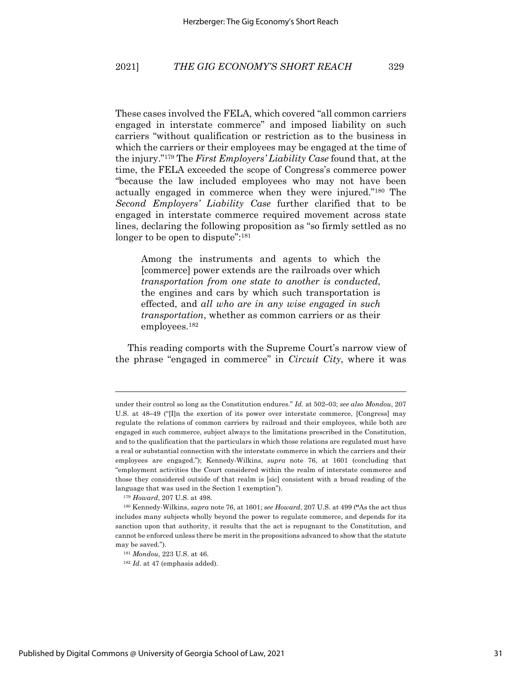These cases involved the FELA, which covered "all common carriers engaged in interstate commerce" and imposed liability on such carriers "without qualification or restriction as to the business in which the carriers or their employees may be engaged at the time of the injury."179 The *First Employers' Liability Case* found that, at the time, the FELA exceeded the scope of Congress's commerce power "because the law included employees who may not have been actually engaged in commerce when they were injured."180 The *Second Employers' Liability Case* further clarified that to be engaged in interstate commerce required movement across state lines, declaring the following proposition as "so firmly settled as no longer to be open to dispute":<sup>181</sup>

Among the instruments and agents to which the [commerce] power extends are the railroads over which *transportation from one state to another is conducted*, the engines and cars by which such transportation is effected, and *all who are in any wise engaged in such transportation*, whether as common carriers or as their employees.182

This reading comports with the Supreme Court's narrow view of the phrase "engaged in commerce" in *Circuit City*, where it was

<sup>179</sup> *Howard*, 207 U.S. at 498.

under their control so long as the Constitution endures." *Id.* at 502**–**03; *see also Mondou*, 207 U.S. at 48**–**49 ("[I]n the exertion of its power over interstate commerce, [Congress] may regulate the relations of common carriers by railroad and their employees, while both are engaged in such commerce, subject always to the limitations prescribed in the Constitution, and to the qualification that the particulars in which those relations are regulated must have a real or substantial connection with the interstate commerce in which the carriers and their employees are engaged."); Kennedy-Wilkins, *supra* note 76, at 1601 (concluding that "employment activities the Court considered within the realm of interstate commerce and those they considered outside of that realm is [sic] consistent with a broad reading of the language that was used in the Section 1 exemption").

<sup>180</sup> Kennedy-Wilkins, *supra* note 76, at 1601; *see Howard*, 207 U.S. at 499 (**"**As the act thus includes many subjects wholly beyond the power to regulate commerce, and depends for its sanction upon that authority, it results that the act is repugnant to the Constitution, and cannot be enforced unless there be merit in the propositions advanced to show that the statute may be saved.").

<sup>181</sup> *Mondou*, 223 U.S. at 46.

<sup>&</sup>lt;sup>182</sup> *Id.* at 47 (emphasis added).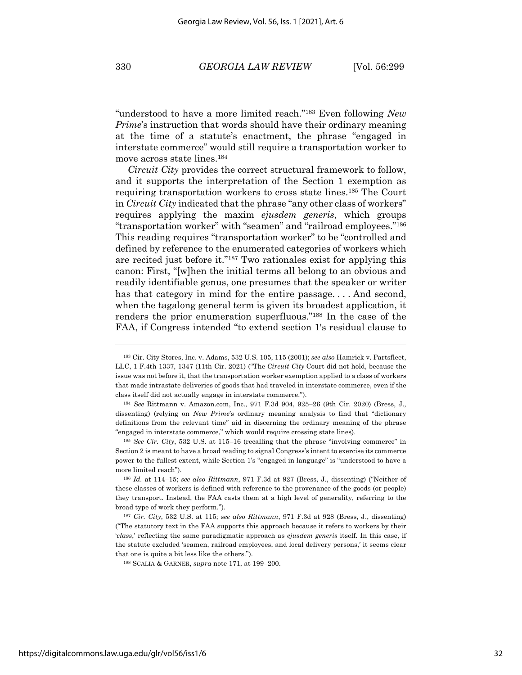"understood to have a more limited reach."183 Even following *New Prime*'s instruction that words should have their ordinary meaning at the time of a statute's enactment, the phrase "engaged in interstate commerce" would still require a transportation worker to move across state lines.184

*Circuit City* provides the correct structural framework to follow, and it supports the interpretation of the Section 1 exemption as requiring transportation workers to cross state lines.185 The Court in *Circuit City* indicated that the phrase "any other class of workers" requires applying the maxim *ejusdem generis*, which groups "transportation worker" with "seamen" and "railroad employees."186 This reading requires "transportation worker" to be "controlled and defined by reference to the enumerated categories of workers which are recited just before it."187 Two rationales exist for applying this canon: First, "[w]hen the initial terms all belong to an obvious and readily identifiable genus, one presumes that the speaker or writer has that category in mind for the entire passage.... And second, when the tagalong general term is given its broadest application, it renders the prior enumeration superfluous."188 In the case of the FAA, if Congress intended "to extend section 1's residual clause to

<sup>183</sup> Cir. City Stores, Inc. v. Adams, 532 U.S. 105, 115 (2001); *see also* Hamrick v. Partsfleet, LLC, 1 F.4th 1337, 1347 (11th Cir. 2021) ("The *Circuit City* Court did not hold, because the issue was not before it, that the transportation worker exemption applied to a class of workers that made intrastate deliveries of goods that had traveled in interstate commerce, even if the class itself did not actually engage in interstate commerce.").

<sup>184</sup> *See* Rittmann v. Amazon.com, Inc., 971 F.3d 904, 925–26 (9th Cir. 2020) (Bress, J., dissenting) (relying on *New Prime*'s ordinary meaning analysis to find that "dictionary definitions from the relevant time" aid in discerning the ordinary meaning of the phrase "engaged in interstate commerce," which would require crossing state lines).

<sup>185</sup> *See Cir. City*, 532 U.S. at 115–16 (recalling that the phrase "involving commerce" in Section 2 is meant to have a broad reading to signal Congress's intent to exercise its commerce power to the fullest extent, while Section 1's "engaged in language" is "understood to have a more limited reach").

<sup>186</sup> *Id.* at 114–15; *see also Rittmann*, 971 F.3d at 927 (Bress, J., dissenting) ("Neither of these classes of workers is defined with reference to the provenance of the goods (or people) they transport. Instead, the FAA casts them at a high level of generality, referring to the broad type of work they perform.").

<sup>187</sup> *Cir. City*, 532 U.S. at 115; s*ee also Rittmann*, 971 F.3d at 928 (Bress, J., dissenting) ("The statutory text in the FAA supports this approach because it refers to workers by their '*class*,' reflecting the same paradigmatic approach as *ejusdem generis* itself. In this case, if the statute excluded 'seamen, railroad employees, and local delivery persons,' it seems clear that one is quite a bit less like the others.").

<sup>188</sup> SCALIA & GARNER, *supra* note 171, at 199–200.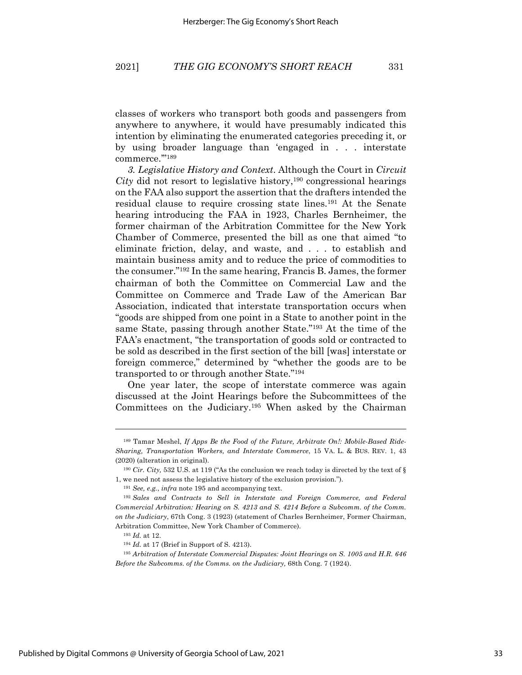classes of workers who transport both goods and passengers from anywhere to anywhere, it would have presumably indicated this intention by eliminating the enumerated categories preceding it, or by using broader language than 'engaged in . . . interstate commerce.'"189

*3. Legislative History and Context*. Although the Court in *Circuit*   $City$  did not resort to legislative history,<sup>190</sup> congressional hearings on the FAA also support the assertion that the drafters intended the residual clause to require crossing state lines.191 At the Senate hearing introducing the FAA in 1923, Charles Bernheimer, the former chairman of the Arbitration Committee for the New York Chamber of Commerce, presented the bill as one that aimed "to eliminate friction, delay, and waste, and . . . to establish and maintain business amity and to reduce the price of commodities to the consumer."192 In the same hearing, Francis B. James, the former chairman of both the Committee on Commercial Law and the Committee on Commerce and Trade Law of the American Bar Association, indicated that interstate transportation occurs when "goods are shipped from one point in a State to another point in the same State, passing through another State."193 At the time of the FAA's enactment, "the transportation of goods sold or contracted to be sold as described in the first section of the bill [was] interstate or foreign commerce," determined by "whether the goods are to be transported to or through another State."194

One year later, the scope of interstate commerce was again discussed at the Joint Hearings before the Subcommittees of the Committees on the Judiciary.195 When asked by the Chairman

<sup>189</sup> Tamar Meshel, *If Apps Be the Food of the Future, Arbitrate On!: Mobile-Based Ride-Sharing, Transportation Workers, and Interstate Commerce*, 15 VA. L. & BUS. REV. 1, 43 (2020) (alteration in original).

<sup>190</sup> *Cir. City,* 532 U.S. at 119 ("As the conclusion we reach today is directed by the text of § 1, we need not assess the legislative history of the exclusion provision.").

<sup>191</sup> *See, e.g.*, *infra* note 195 and accompanying text.

<sup>192</sup> *Sales and Contracts to Sell in Interstate and Foreign Commerce, and Federal Commercial Arbitration: Hearing on S. 4213 and S. 4214 Before a Subcomm. of the Comm. on the Judiciary*, 67th Cong. 3 (1923) (statement of Charles Bernheimer, Former Chairman, Arbitration Committee, New York Chamber of Commerce).

<sup>193</sup> *Id.* at 12.

<sup>194</sup> *Id.* at 17 (Brief in Support of S. 4213).

<sup>195</sup> *Arbitration of Interstate Commercial Disputes: Joint Hearings on S. 1005 and H.R. 646 Before the Subcomms. of the Comms. on the Judiciary,* 68th Cong. 7 (1924).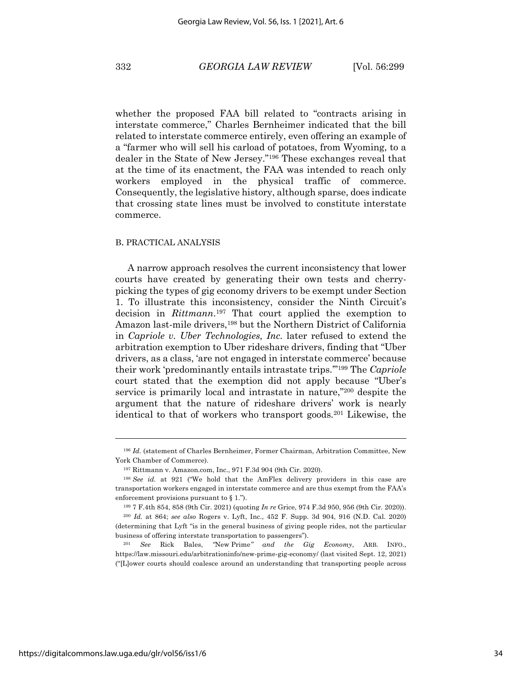whether the proposed FAA bill related to "contracts arising in interstate commerce," Charles Bernheimer indicated that the bill related to interstate commerce entirely, even offering an example of a "farmer who will sell his carload of potatoes, from Wyoming, to a dealer in the State of New Jersey."196 These exchanges reveal that at the time of its enactment, the FAA was intended to reach only workers employed in the physical traffic of commerce. Consequently, the legislative history, although sparse, does indicate that crossing state lines must be involved to constitute interstate commerce.

#### B. PRACTICAL ANALYSIS

A narrow approach resolves the current inconsistency that lower courts have created by generating their own tests and cherrypicking the types of gig economy drivers to be exempt under Section 1. To illustrate this inconsistency, consider the Ninth Circuit's decision in *Rittmann*. <sup>197</sup> That court applied the exemption to Amazon last-mile drivers,<sup>198</sup> but the Northern District of California in *Capriole v. Uber Technologies, Inc.* later refused to extend the arbitration exemption to Uber rideshare drivers, finding that "Uber drivers, as a class, 'are not engaged in interstate commerce' because their work 'predominantly entails intrastate trips.'"199 The *Capriole*  court stated that the exemption did not apply because "Uber's service is primarily local and intrastate in nature,"200 despite the argument that the nature of rideshare drivers' work is nearly identical to that of workers who transport goods*.* <sup>201</sup> Likewise, the

<sup>196</sup> *Id.* (statement of Charles Bernheimer, Former Chairman, Arbitration Committee, New York Chamber of Commerce).

<sup>197</sup> Rittmann v. Amazon.com, Inc., 971 F.3d 904 (9th Cir. 2020).

<sup>198</sup> *See id.* at 921 ("We hold that the AmFlex delivery providers in this case are transportation workers engaged in interstate commerce and are thus exempt from the FAA's enforcement provisions pursuant to § 1.").

<sup>199</sup> 7 F.4th 854, 858 (9th Cir. 2021) (quoting *In re* Grice, 974 F.3d 950, 956 (9th Cir. 2020)).

<sup>200</sup> *Id.* at 864; *see also* Rogers v. Lyft, Inc., 452 F. Supp. 3d 904, 916 (N.D. Cal. 2020) (determining that Lyft "is in the general business of giving people rides, not the particular business of offering interstate transportation to passengers").

<sup>201</sup> *See* Rick Bales, *"*New Prime*" and the Gig Economy*, ARB. INFO., https://law.missouri.edu/arbitrationinfo/new-prime-gig-economy/ (last visited Sept. 12, 2021) ("[L]ower courts should coalesce around an understanding that transporting people across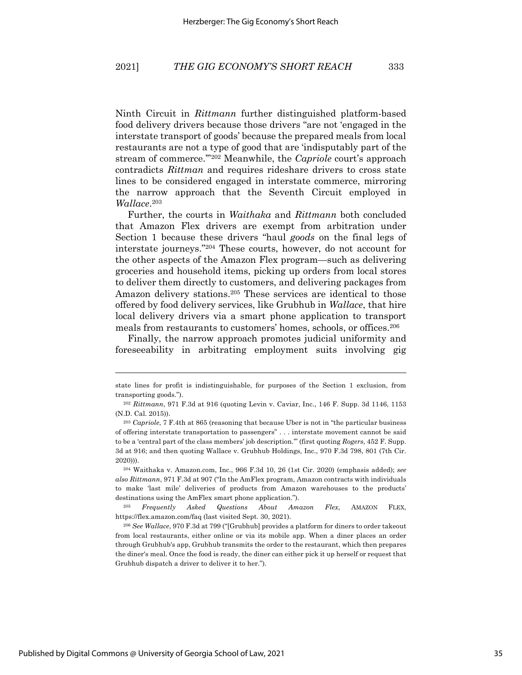Ninth Circuit in *Rittmann* further distinguished platform-based food delivery drivers because those drivers "are not 'engaged in the interstate transport of goods' because the prepared meals from local restaurants are not a type of good that are 'indisputably part of the stream of commerce.'"202 Meanwhile, the *Capriole* court's approach contradicts *Rittman* and requires rideshare drivers to cross state lines to be considered engaged in interstate commerce, mirroring the narrow approach that the Seventh Circuit employed in *Wallace*. 203

Further, the courts in *Waithaka* and *Rittmann* both concluded that Amazon Flex drivers are exempt from arbitration under Section 1 because these drivers "haul *goods* on the final legs of interstate journeys."204 These courts, however, do not account for the other aspects of the Amazon Flex program—such as delivering groceries and household items, picking up orders from local stores to deliver them directly to customers, and delivering packages from Amazon delivery stations.205 These services are identical to those offered by food delivery services, like Grubhub in *Wallace*, that hire local delivery drivers via a smart phone application to transport meals from restaurants to customers' homes, schools, or offices.206

Finally, the narrow approach promotes judicial uniformity and foreseeability in arbitrating employment suits involving gig

state lines for profit is indistinguishable, for purposes of the Section 1 exclusion, from transporting goods.").

<sup>202</sup> *Rittmann*, 971 F.3d at 916 (quoting Levin v. Caviar, Inc., 146 F. Supp. 3d 1146, 1153 (N.D. Cal. 2015)).

<sup>203</sup> *Capriole*, 7 F.4th at 865 (reasoning that because Uber is not in "the particular business of offering interstate transportation to passengers" . . . interstate movement cannot be said to be a 'central part of the class members' job description.'" (first quoting *Rogers*, 452 F. Supp. 3d at 916; and then quoting Wallace v. Grubhub Holdings, Inc., 970 F.3d 798, 801 (7th Cir. 2020))).

<sup>204</sup> Waithaka v. Amazon.com, Inc., 966 F.3d 10, 26 (1st Cir. 2020) (emphasis added); *see also Rittmann*, 971 F.3d at 907 ("In the AmFlex program, Amazon contracts with individuals to make 'last mile' deliveries of products from Amazon warehouses to the products' destinations using the AmFlex smart phone application.").

<sup>205</sup> *Frequently Asked Questions About Amazon Flex*, AMAZON FLEX, https://flex.amazon.com/faq (last visited Sept. 30, 2021).

<sup>206</sup> *See Wallace*, 970 F.3d at 799 ("[Grubhub] provides a platform for diners to order takeout from local restaurants, either online or via its mobile app. When a diner places an order through Grubhub's app, Grubhub transmits the order to the restaurant, which then prepares the diner's meal. Once the food is ready, the diner can either pick it up herself or request that Grubhub dispatch a driver to deliver it to her.").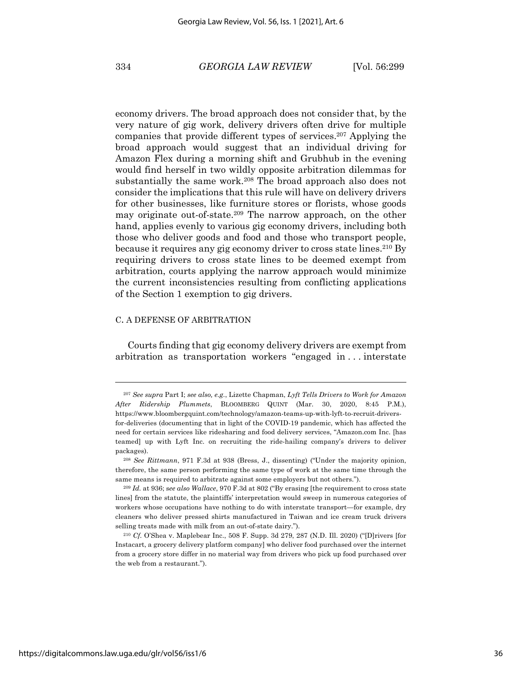economy drivers. The broad approach does not consider that, by the very nature of gig work, delivery drivers often drive for multiple companies that provide different types of services.207 Applying the broad approach would suggest that an individual driving for Amazon Flex during a morning shift and Grubhub in the evening would find herself in two wildly opposite arbitration dilemmas for substantially the same work.<sup>208</sup> The broad approach also does not consider the implications that this rule will have on delivery drivers for other businesses, like furniture stores or florists, whose goods may originate out-of-state.209 The narrow approach, on the other hand, applies evenly to various gig economy drivers, including both those who deliver goods and food and those who transport people, because it requires any gig economy driver to cross state lines.210 By requiring drivers to cross state lines to be deemed exempt from arbitration, courts applying the narrow approach would minimize the current inconsistencies resulting from conflicting applications of the Section 1 exemption to gig drivers.

#### C. A DEFENSE OF ARBITRATION

Courts finding that gig economy delivery drivers are exempt from arbitration as transportation workers "engaged in . . . interstate

<sup>207</sup> *See supra* Part I; *see also, e.g.*, Lizette Chapman, *Lyft Tells Drivers to Work for Amazon After Ridership Plummets*, BLOOMBERG QUINT (Mar. 30, 2020, 8:45 P.M.), https://www.bloombergquint.com/technology/amazon-teams-up-with-lyft-to-recruit-driversfor-deliveries (documenting that in light of the COVID-19 pandemic, which has affected the need for certain services like ridesharing and food delivery services, "Amazon.com Inc. [has teamed] up with Lyft Inc. on recruiting the ride-hailing company's drivers to deliver packages).

<sup>208</sup> *See Rittmann*, 971 F.3d at 938 (Bress, J., dissenting) ("Under the majority opinion, therefore, the same person performing the same type of work at the same time through the same means is required to arbitrate against some employers but not others.").

<sup>209</sup> *Id.* at 936; s*ee also Wallace*, 970 F.3d at 802 ("By erasing [the requirement to cross state lines] from the statute, the plaintiffs' interpretation would sweep in numerous categories of workers whose occupations have nothing to do with interstate transport—for example, dry cleaners who deliver pressed shirts manufactured in Taiwan and ice cream truck drivers selling treats made with milk from an out-of-state dairy.").

<sup>210</sup> *Cf.* O'Shea v. Maplebear Inc., 508 F. Supp. 3d 279, 287 (N.D. Ill. 2020) ("[D]rivers [for Instacart, a grocery delivery platform company] who deliver food purchased over the internet from a grocery store differ in no material way from drivers who pick up food purchased over the web from a restaurant.").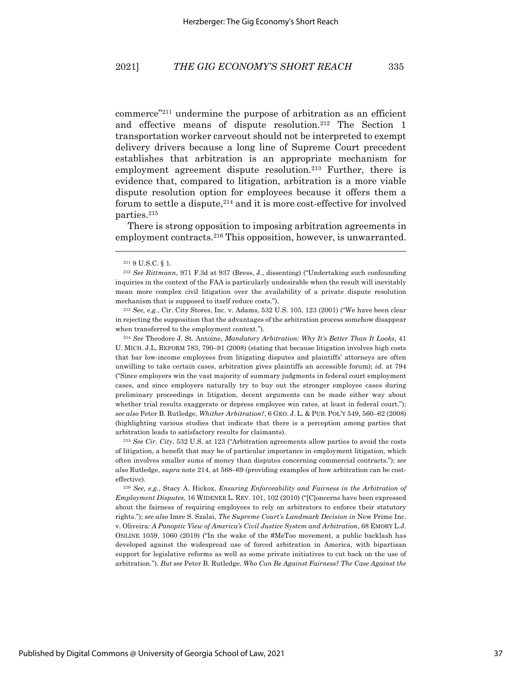commerce"211 undermine the purpose of arbitration as an efficient and effective means of dispute resolution.212 The Section 1 transportation worker carveout should not be interpreted to exempt delivery drivers because a long line of Supreme Court precedent establishes that arbitration is an appropriate mechanism for employment agreement dispute resolution.<sup>213</sup> Further, there is evidence that, compared to litigation, arbitration is a more viable dispute resolution option for employees because it offers them a forum to settle a dispute, <sup>214</sup> and it is more cost-effective for involved parties.215

There is strong opposition to imposing arbitration agreements in employment contracts.<sup>216</sup> This opposition, however, is unwarranted.

<sup>213</sup> *See, e.g.*, Cir. City Stores, Inc. v. Adams, 532 U.S. 105, 123 (2001) ("We have been clear in rejecting the supposition that the advantages of the arbitration process somehow disappear when transferred to the employment context.").

<sup>214</sup> *See* Theodore J. St. Antoine, *Mandatory Arbitration: Why It's Better Than It Looks*, 41 U. MICH. J.L. REFORM 783, 790–91 (2008) (stating that because litigation involves high costs that bar low-income employees from litigating disputes and plaintiffs' attorneys are often unwilling to take certain cases, arbitration gives plaintiffs an accessible forum); *id.* at 794 ("Since employers win the vast majority of summary judgments in federal court employment cases, and since employers naturally try to buy out the stronger employee cases during preliminary proceedings in litigation, decent arguments can be made either way about whether trial results exaggerate or depress employee win rates, at least in federal court."); *see also* Peter B. Rutledge, *Whither Arbitration?*, 6 GEO. J. L. & PUB. POL'Y 549, 560–62 (2008) (highlighting various studies that indicate that there is a perception among parties that arbitration leads to satisfactory results for claimants).

<sup>215</sup> *See Cir. City*, 532 U.S. at 123 ("Arbitration agreements allow parties to avoid the costs of litigation, a benefit that may be of particular importance in employment litigation, which often involves smaller sums of money than disputes concerning commercial contracts."); *see also* Rutledge, *supra* note 214, at 568–69 (providing examples of how arbitration can be costeffective).

<sup>216</sup> *See, e.g.*, Stacy A. Hickox, *Ensuring Enforceability and Fairness in the Arbitration of Employment Disputes*, 16 WIDENER L. REV. 101, 102 (2010) ("[C]oncerns have been expressed about the fairness of requiring employees to rely on arbitrators to enforce their statutory rights."); *see also* Imre S. Szalai, *The Supreme Court's Landmark Decision in* New Prime Inc. v. Oliveira*: A Panoptic View of America's Civil Justice System and Arbitration*, 68 EMORY L.J. ONLINE 1059, 1060 (2019) ("In the wake of the #MeToo movement, a public backlash has developed against the widespread use of forced arbitration in America, with bipartisan support for legislative reforms as well as some private initiatives to cut back on the use of arbitration."). *But see* Peter B. Rutledge, *Who Can Be Against Fairness? The Case Against the* 

<sup>211</sup> 9 U.S.C. § 1.

<sup>212</sup> *See Rittmann*, 971 F.3d at 937 (Bress, J., dissenting) ("Undertaking such confounding inquiries in the context of the FAA is particularly undesirable when the result will inevitably mean more complex civil litigation over the availability of a private dispute resolution mechanism that is supposed to itself reduce costs.").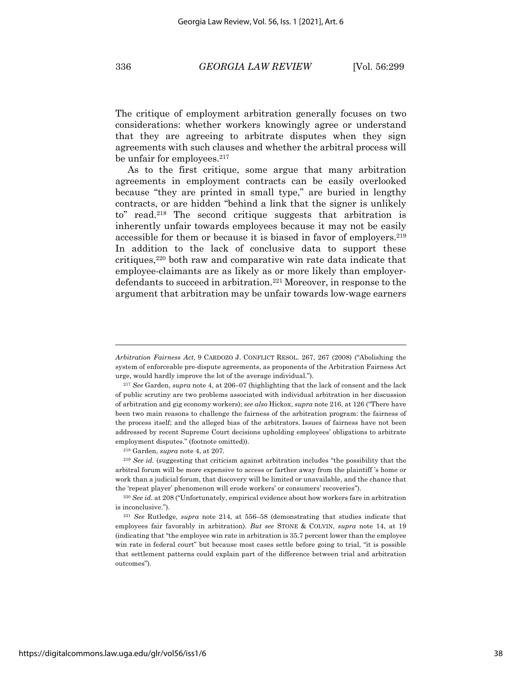The critique of employment arbitration generally focuses on two considerations: whether workers knowingly agree or understand that they are agreeing to arbitrate disputes when they sign agreements with such clauses and whether the arbitral process will be unfair for employees. $217$ 

As to the first critique, some argue that many arbitration agreements in employment contracts can be easily overlooked because "they are printed in small type," are buried in lengthy contracts, or are hidden "behind a link that the signer is unlikely to" read.218 The second critique suggests that arbitration is inherently unfair towards employees because it may not be easily accessible for them or because it is biased in favor of employers.<sup>219</sup> In addition to the lack of conclusive data to support these critiques,220 both raw and comparative win rate data indicate that employee-claimants are as likely as or more likely than employerdefendants to succeed in arbitration.221 Moreover, in response to the argument that arbitration may be unfair towards low-wage earners

<sup>218</sup> Garden, *supra* note 4, at 207.

*Arbitration Fairness Act*, 9 CARDOZO J. CONFLICT RESOL. 267, 267 (2008) ("Abolishing the system of enforceable pre-dispute agreements, as proponents of the Arbitration Fairness Act urge, would hardly improve the lot of the average individual.").

<sup>217</sup> *See* Garden, *supra* note 4, at 206–07 (highlighting that the lack of consent and the lack of public scrutiny are two problems associated with individual arbitration in her discussion of arbitration and gig economy workers); *see also* Hickox, *supra* note 216, at 126 ("There have been two main reasons to challenge the fairness of the arbitration program: the fairness of the process itself; and the alleged bias of the arbitrators. Issues of fairness have not been addressed by recent Supreme Court decisions upholding employees' obligations to arbitrate employment disputes." (footnote omitted)).

<sup>219</sup> *See id.* (suggesting that criticism against arbitration includes "the possibility that the arbitral forum will be more expensive to access or farther away from the plaintiff 's home or work than a judicial forum, that discovery will be limited or unavailable, and the chance that the 'repeat player' phenomenon will erode workers' or consumers' recoveries").

<sup>220</sup> *See id.* at 208 ("Unfortunately, empirical evidence about how workers fare in arbitration is inconclusive.").

<sup>221</sup> *See* Rutledge, *supra* note 214, at 556–58 (demonstrating that studies indicate that employees fair favorably in arbitration). *But see* STONE & COLVIN, *supra* note 14, at 19 (indicating that "the employee win rate in arbitration is 35.7 percent lower than the employee win rate in federal court" but because most cases settle before going to trial, "it is possible that settlement patterns could explain part of the difference between trial and arbitration outcomes").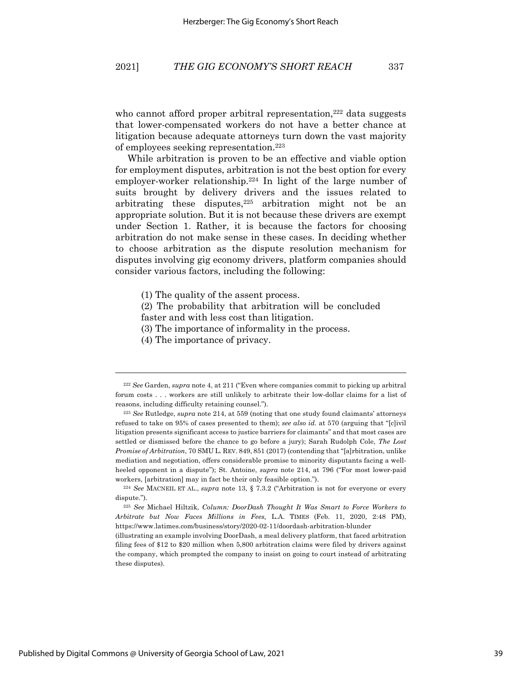who cannot afford proper arbitral representation,<sup>222</sup> data suggests that lower-compensated workers do not have a better chance at litigation because adequate attorneys turn down the vast majority of employees seeking representation. 223

While arbitration is proven to be an effective and viable option for employment disputes, arbitration is not the best option for every employer-worker relationship.224 In light of the large number of suits brought by delivery drivers and the issues related to arbitrating these disputes, $225$  arbitration might not be an appropriate solution. But it is not because these drivers are exempt under Section 1. Rather, it is because the factors for choosing arbitration do not make sense in these cases. In deciding whether to choose arbitration as the dispute resolution mechanism for disputes involving gig economy drivers, platform companies should consider various factors, including the following:

- (1) The quality of the assent process.
- (2) The probability that arbitration will be concluded faster and with less cost than litigation.
- (3) The importance of informality in the process.
- (4) The importance of privacy.

<sup>222</sup> *See* Garden, *supra* note 4, at 211 ("Even where companies commit to picking up arbitral forum costs . . . workers are still unlikely to arbitrate their low-dollar claims for a list of reasons, including difficulty retaining counsel.").

<sup>223</sup> *See* Rutledge, *supra* note 214, at 559 (noting that one study found claimants' attorneys refused to take on 95% of cases presented to them); *see also id.* at 570 (arguing that "[c]ivil litigation presents significant access to justice barriers for claimants" and that most cases are settled or dismissed before the chance to go before a jury); Sarah Rudolph Cole, *The Lost Promise of Arbitration*, 70 SMU L. REV. 849, 851 (2017) (contending that "[a]rbitration, unlike mediation and negotiation, offers considerable promise to minority disputants facing a wellheeled opponent in a dispute"); St. Antoine, *supra* note 214, at 796 ("For most lower-paid workers, [arbitration] may in fact be their only feasible option.").

<sup>224</sup> *See* MACNEIL ET AL., *supra* note 13, § 7.3.2 ("Arbitration is not for everyone or every dispute.").

<sup>225</sup> *See* Michael Hiltzik, *Column: DoorDash Thought It Was Smart to Force Workers to Arbitrate but Now Faces Millions in Fees,* L.A. TIMES (Feb. 11, 2020, 2:48 PM), https://www.latimes.com/business/story/2020-02-11/doordash-arbitration-blunder

<sup>(</sup>illustrating an example involving DoorDash, a meal delivery platform, that faced arbitration filing fees of \$12 to \$20 million when 5,800 arbitration claims were filed by drivers against the company, which prompted the company to insist on going to court instead of arbitrating these disputes).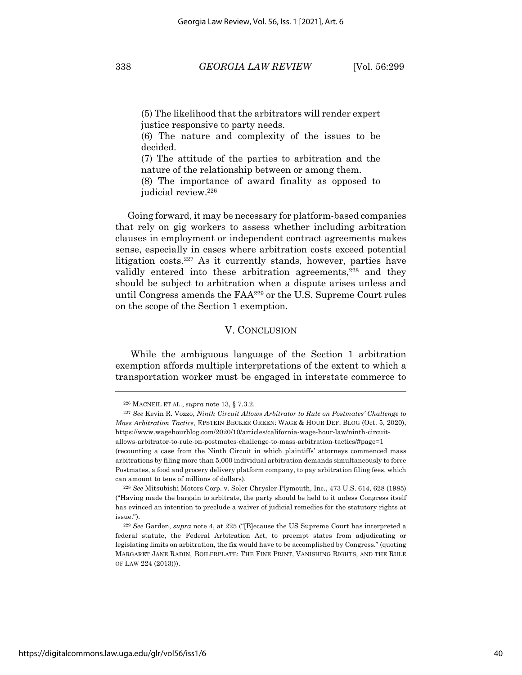(5) The likelihood that the arbitrators will render expert justice responsive to party needs.

(6) The nature and complexity of the issues to be decided.

(7) The attitude of the parties to arbitration and the nature of the relationship between or among them.

(8) The importance of award finality as opposed to judicial review.226

Going forward, it may be necessary for platform-based companies that rely on gig workers to assess whether including arbitration clauses in employment or independent contract agreements makes sense, especially in cases where arbitration costs exceed potential litigation costs.227 As it currently stands, however, parties have validly entered into these arbitration agreements, <sup>228</sup> and they should be subject to arbitration when a dispute arises unless and until Congress amends the FAA229 or the U.S. Supreme Court rules on the scope of the Section 1 exemption.

#### V. CONCLUSION

While the ambiguous language of the Section 1 arbitration exemption affords multiple interpretations of the extent to which a transportation worker must be engaged in interstate commerce to

<sup>226</sup> MACNEIL ET AL., *supra* note 13, § 7.3.2.

<sup>227</sup> *See* Kevin R. Vozzo, *Ninth Circuit Allows Arbitrator to Rule on Postmates' Challenge to Mass Arbitration Tactics*, EPSTEIN BECKER GREEN: WAGE & HOUR DEF. BLOG (Oct. 5, 2020), https://www.wagehourblog.com/2020/10/articles/california-wage-hour-law/ninth-circuitallows-arbitrator-to-rule-on-postmates-challenge-to-mass-arbitration-tactics/#page=1 (recounting a case from the Ninth Circuit in which plaintiffs' attorneys commenced mass arbitrations by filing more than 5,000 individual arbitration demands simultaneously to force Postmates, a food and grocery delivery platform company, to pay arbitration filing fees, which can amount to tens of millions of dollars).

<sup>228</sup> *See* Mitsubishi Motors Corp. v. Soler Chrysler-Plymouth, Inc., 473 U.S. 614, 628 (1985) ("Having made the bargain to arbitrate, the party should be held to it unless Congress itself has evinced an intention to preclude a waiver of judicial remedies for the statutory rights at issue.").

<sup>229</sup> *See* Garden, *supra* note 4, at 225 ("[B]ecause the US Supreme Court has interpreted a federal statute, the Federal Arbitration Act, to preempt states from adjudicating or legislating limits on arbitration, the fix would have to be accomplished by Congress." (quoting MARGARET JANE RADIN, BOILERPLATE: THE FINE PRINT, VANISHING RIGHTS, AND THE RULE OF LAW 224 (2013))).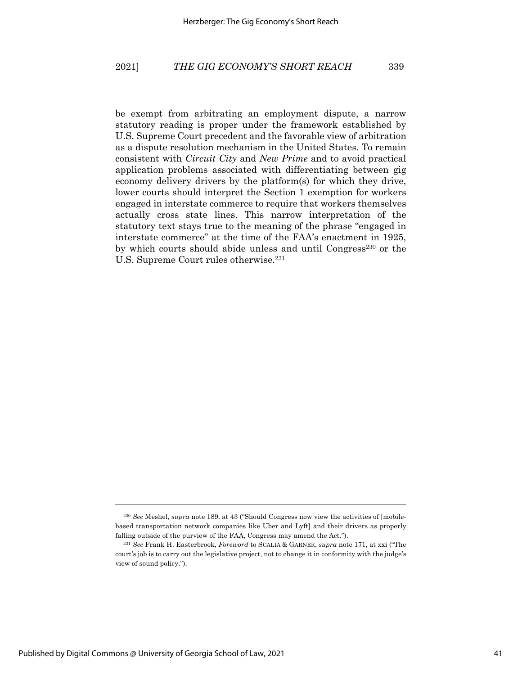be exempt from arbitrating an employment dispute, a narrow statutory reading is proper under the framework established by U.S. Supreme Court precedent and the favorable view of arbitration as a dispute resolution mechanism in the United States. To remain consistent with *Circuit City* and *New Prime* and to avoid practical application problems associated with differentiating between gig economy delivery drivers by the platform(s) for which they drive, lower courts should interpret the Section 1 exemption for workers engaged in interstate commerce to require that workers themselves actually cross state lines. This narrow interpretation of the statutory text stays true to the meaning of the phrase "engaged in interstate commerce" at the time of the FAA's enactment in 1925, by which courts should abide unless and until Congress<sup>230</sup> or the U.S. Supreme Court rules otherwise.<sup>231</sup>

<sup>230</sup> *See* Meshel, *supra* note 189, at 43 ("Should Congress now view the activities of [mobilebased transportation network companies like Uber and Lyft] and their drivers as properly falling outside of the purview of the FAA, Congress may amend the Act.").

<sup>231</sup> *See* Frank H. Easterbrook, *Foreword* to SCALIA & GARNER, *supra* note 171, at xxi ("The court's job is to carry out the legislative project, not to change it in conformity with the judge's view of sound policy.").